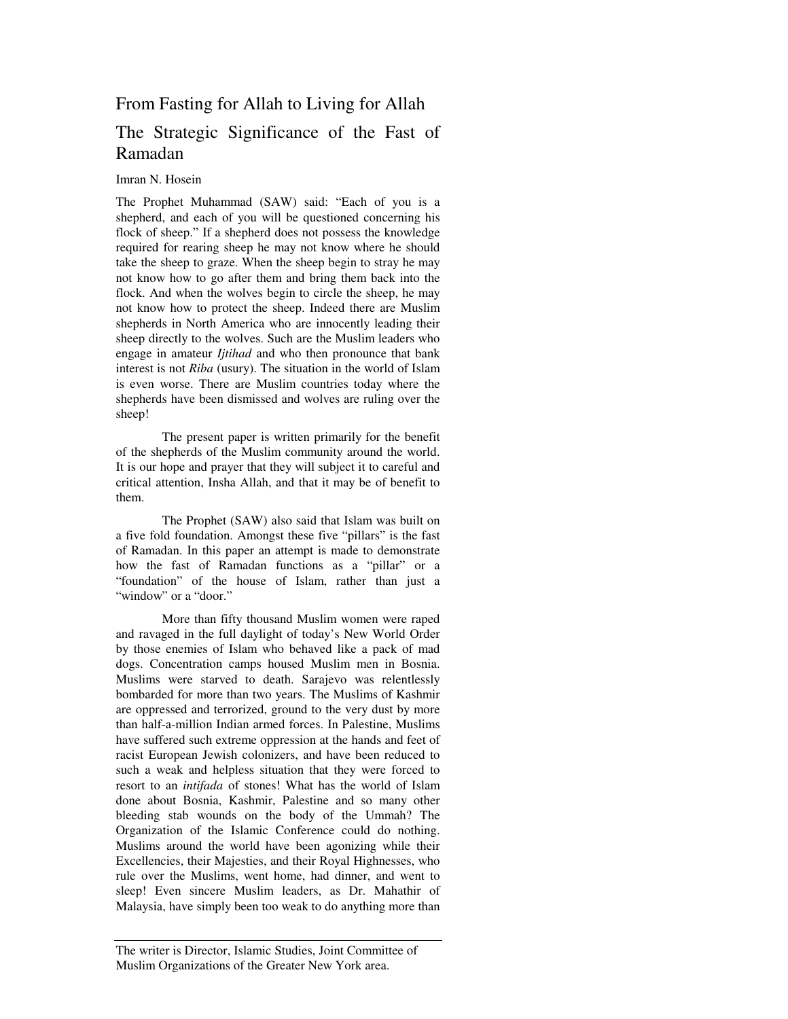## From Fasting for Allah to Living for Allah

# The Strategic Significance of the Fast of Ramadan

#### Imran N. Hosein

The Prophet Muhammad (SAW) said: "Each of you is a shepherd, and each of you will be questioned concerning his flock of sheep." If a shepherd does not possess the knowledge required for rearing sheep he may not know where he should take the sheep to graze. When the sheep begin to stray he may not know how to go after them and bring them back into the flock. And when the wolves begin to circle the sheep, he may not know how to protect the sheep. Indeed there are Muslim shepherds in North America who are innocently leading their sheep directly to the wolves. Such are the Muslim leaders who engage in amateur *Ijtihad* and who then pronounce that bank interest is not *Riba* (usury). The situation in the world of Islam is even worse. There are Muslim countries today where the shepherds have been dismissed and wolves are ruling over the sheep!

The present paper is written primarily for the benefit of the shepherds of the Muslim community around the world. It is our hope and prayer that they will subject it to careful and critical attention, Insha Allah, and that it may be of benefit to them.

The Prophet (SAW) also said that Islam was built on a five fold foundation. Amongst these five "pillars" is the fast of Ramadan. In this paper an attempt is made to demonstrate how the fast of Ramadan functions as a "pillar" or a "foundation" of the house of Islam, rather than just a "window" or a "door."

More than fifty thousand Muslim women were raped and ravaged in the full daylight of today's New World Order by those enemies of Islam who behaved like a pack of mad dogs. Concentration camps housed Muslim men in Bosnia. Muslims were starved to death. Sarajevo was relentlessly bombarded for more than two years. The Muslims of Kashmir are oppressed and terrorized, ground to the very dust by more than half-a-million Indian armed forces. In Palestine, Muslims have suffered such extreme oppression at the hands and feet of racist European Jewish colonizers, and have been reduced to such a weak and helpless situation that they were forced to resort to an *intifada* of stones! What has the world of Islam done about Bosnia, Kashmir, Palestine and so many other bleeding stab wounds on the body of the Ummah? The Organization of the Islamic Conference could do nothing. Muslims around the world have been agonizing while their Excellencies, their Majesties, and their Royal Highnesses, who rule over the Muslims, went home, had dinner, and went to sleep! Even sincere Muslim leaders, as Dr. Mahathir of Malaysia, have simply been too weak to do anything more than

The writer is Director, Islamic Studies, Joint Committee of Muslim Organizations of the Greater New York area.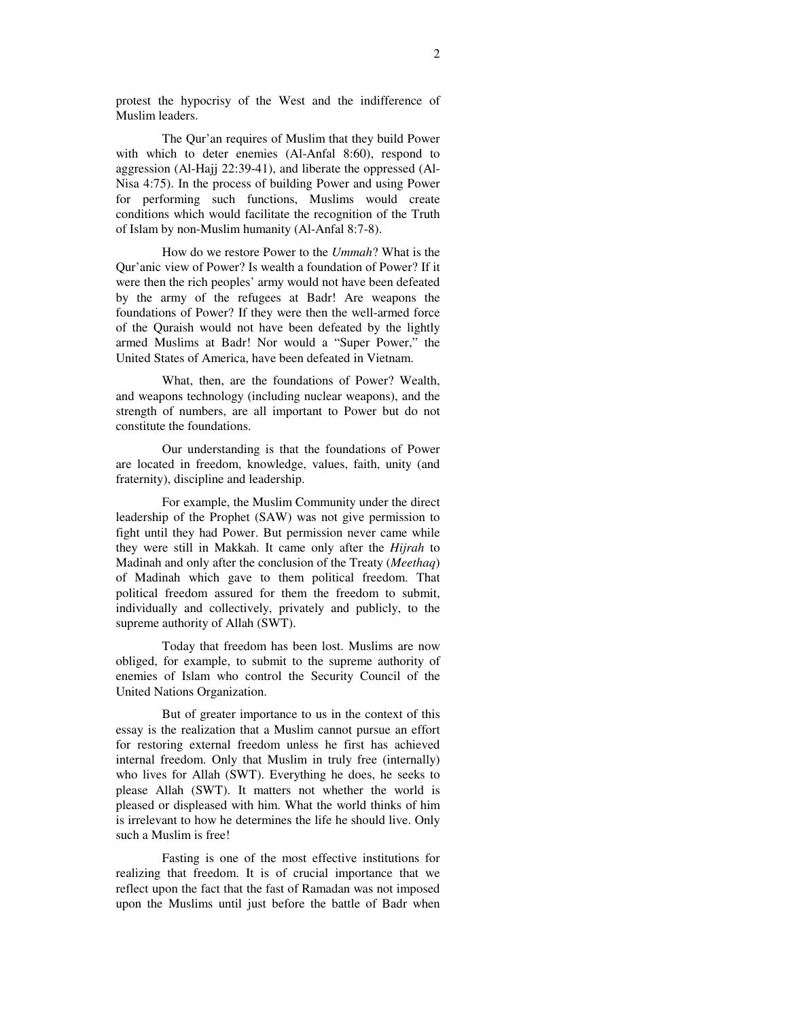protest the hypocrisy of the West and the indifference of Muslim leaders.

The Qur'an requires of Muslim that they build Power with which to deter enemies (Al-Anfal 8:60), respond to aggression (Al-Hajj 22:39-41), and liberate the oppressed (Al-Nisa 4:75). In the process of building Power and using Power for performing such functions, Muslims would create conditions which would facilitate the recognition of the Truth of Islam by non-Muslim humanity (Al-Anfal 8:7-8).

How do we restore Power to the *Ummah*? What is the Qur'anic view of Power? Is wealth a foundation of Power? If it were then the rich peoples' army would not have been defeated by the army of the refugees at Badr! Are weapons the foundations of Power? If they were then the well-armed force of the Quraish would not have been defeated by the lightly armed Muslims at Badr! Nor would a "Super Power," the United States of America, have been defeated in Vietnam.

What, then, are the foundations of Power? Wealth, and weapons technology (including nuclear weapons), and the strength of numbers, are all important to Power but do not constitute the foundations.

Our understanding is that the foundations of Power are located in freedom, knowledge, values, faith, unity (and fraternity), discipline and leadership.

For example, the Muslim Community under the direct leadership of the Prophet (SAW) was not give permission to fight until they had Power. But permission never came while they were still in Makkah. It came only after the *Hijrah* to Madinah and only after the conclusion of the Treaty (*Meethaq*) of Madinah which gave to them political freedom. That political freedom assured for them the freedom to submit, individually and collectively, privately and publicly, to the supreme authority of Allah (SWT).

Today that freedom has been lost. Muslims are now obliged, for example, to submit to the supreme authority of enemies of Islam who control the Security Council of the United Nations Organization.

But of greater importance to us in the context of this essay is the realization that a Muslim cannot pursue an effort for restoring external freedom unless he first has achieved internal freedom. Only that Muslim in truly free (internally) who lives for Allah (SWT). Everything he does, he seeks to please Allah (SWT). It matters not whether the world is pleased or displeased with him. What the world thinks of him is irrelevant to how he determines the life he should live. Only such a Muslim is free!

Fasting is one of the most effective institutions for realizing that freedom. It is of crucial importance that we reflect upon the fact that the fast of Ramadan was not imposed upon the Muslims until just before the battle of Badr when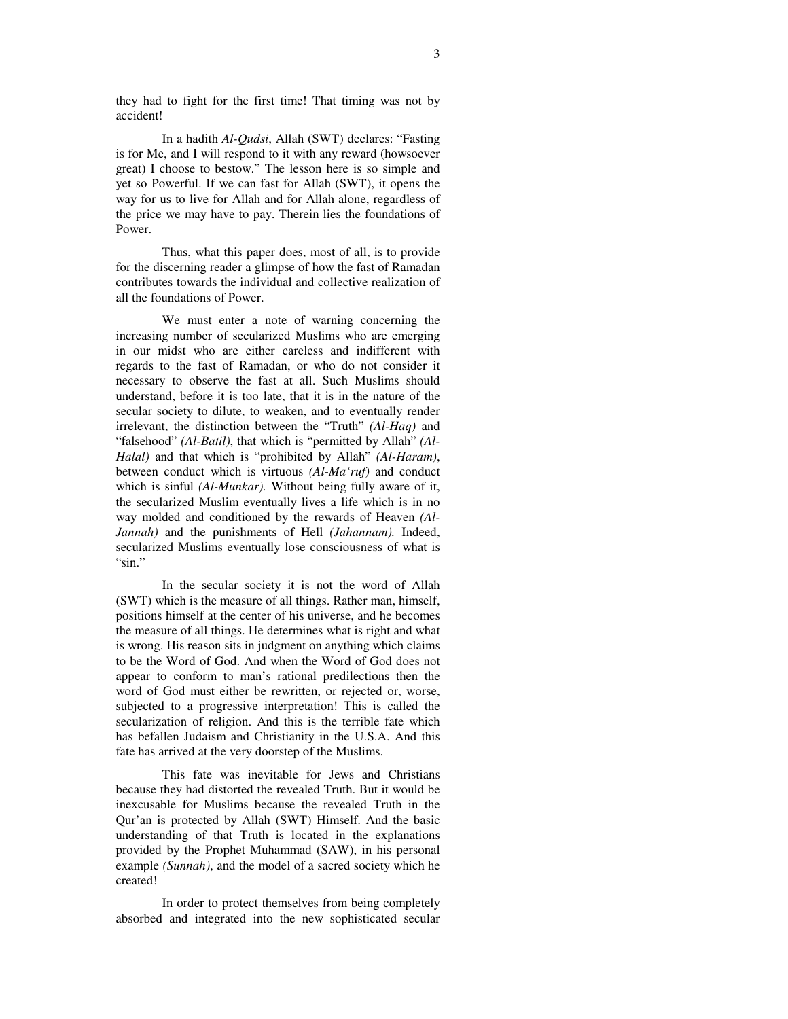they had to fight for the first time! That timing was not by accident!

In a hadith *Al-Qudsi*, Allah (SWT) declares: "Fasting is for Me, and I will respond to it with any reward (howsoever great) I choose to bestow." The lesson here is so simple and yet so Powerful. If we can fast for Allah (SWT), it opens the way for us to live for Allah and for Allah alone, regardless of the price we may have to pay. Therein lies the foundations of Power.

Thus, what this paper does, most of all, is to provide for the discerning reader a glimpse of how the fast of Ramadan contributes towards the individual and collective realization of all the foundations of Power.

We must enter a note of warning concerning the increasing number of secularized Muslims who are emerging in our midst who are either careless and indifferent with regards to the fast of Ramadan, or who do not consider it necessary to observe the fast at all. Such Muslims should understand, before it is too late, that it is in the nature of the secular society to dilute, to weaken, and to eventually render irrelevant, the distinction between the "Truth" *(Al-Haq)* and "falsehood" *(Al-Batil)*, that which is "permitted by Allah" *(Al-Halal)* and that which is "prohibited by Allah" *(Al-Haram)*, between conduct which is virtuous *(Al-Ma'ruf)* and conduct which is sinful *(Al-Munkar).* Without being fully aware of it, the secularized Muslim eventually lives a life which is in no way molded and conditioned by the rewards of Heaven *(Al-Jannah)* and the punishments of Hell *(Jahannam).* Indeed, secularized Muslims eventually lose consciousness of what is "sin."

In the secular society it is not the word of Allah (SWT) which is the measure of all things. Rather man, himself, positions himself at the center of his universe, and he becomes the measure of all things. He determines what is right and what is wrong. His reason sits in judgment on anything which claims to be the Word of God. And when the Word of God does not appear to conform to man's rational predilections then the word of God must either be rewritten, or rejected or, worse, subjected to a progressive interpretation! This is called the secularization of religion. And this is the terrible fate which has befallen Judaism and Christianity in the U.S.A. And this fate has arrived at the very doorstep of the Muslims.

This fate was inevitable for Jews and Christians because they had distorted the revealed Truth. But it would be inexcusable for Muslims because the revealed Truth in the Qur'an is protected by Allah (SWT) Himself. And the basic understanding of that Truth is located in the explanations provided by the Prophet Muhammad (SAW), in his personal example *(Sunnah)*, and the model of a sacred society which he created!

In order to protect themselves from being completely absorbed and integrated into the new sophisticated secular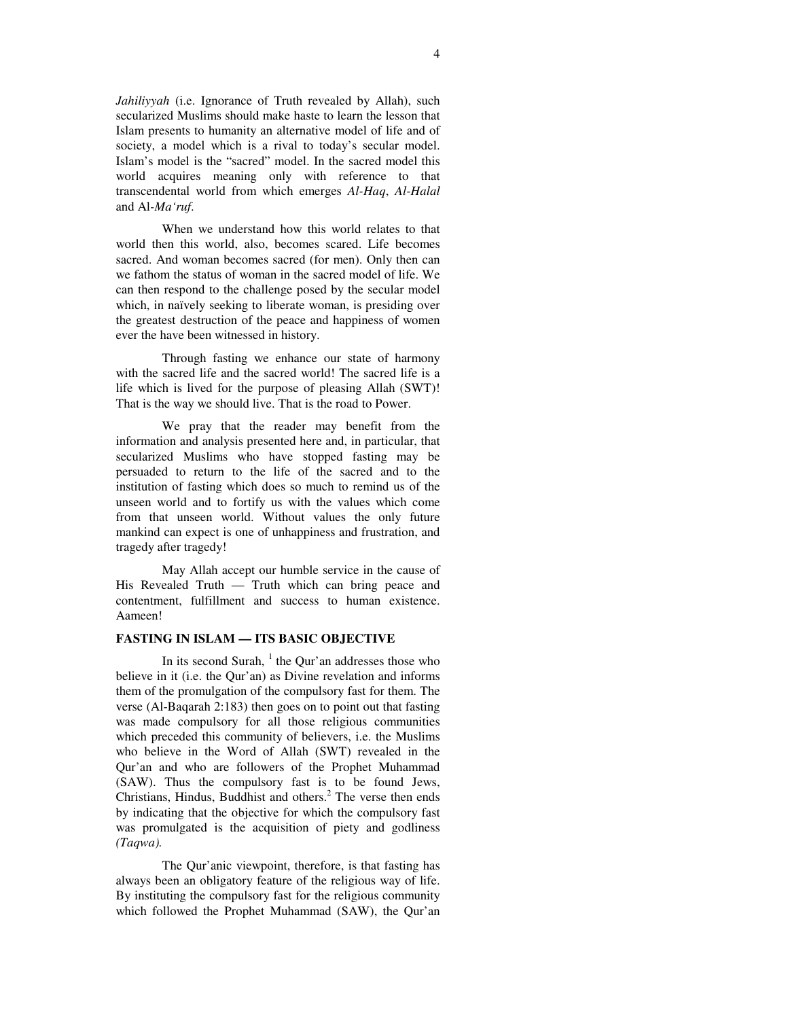*Jahiliyyah* (i.e. Ignorance of Truth revealed by Allah), such secularized Muslims should make haste to learn the lesson that Islam presents to humanity an alternative model of life and of society, a model which is a rival to today's secular model. Islam's model is the "sacred" model. In the sacred model this world acquires meaning only with reference to that transcendental world from which emerges *Al-Haq*, *Al-Halal* and Al*-Ma'ruf*.

When we understand how this world relates to that world then this world, also, becomes scared. Life becomes sacred. And woman becomes sacred (for men). Only then can we fathom the status of woman in the sacred model of life. We can then respond to the challenge posed by the secular model which, in naïvely seeking to liberate woman, is presiding over the greatest destruction of the peace and happiness of women ever the have been witnessed in history.

Through fasting we enhance our state of harmony with the sacred life and the sacred world! The sacred life is a life which is lived for the purpose of pleasing Allah (SWT)! That is the way we should live. That is the road to Power.

We pray that the reader may benefit from the information and analysis presented here and, in particular, that secularized Muslims who have stopped fasting may be persuaded to return to the life of the sacred and to the institution of fasting which does so much to remind us of the unseen world and to fortify us with the values which come from that unseen world. Without values the only future mankind can expect is one of unhappiness and frustration, and tragedy after tragedy!

May Allah accept our humble service in the cause of His Revealed Truth — Truth which can bring peace and contentment, fulfillment and success to human existence. Aameen!

## **FASTING IN ISLAM — ITS BASIC OBJECTIVE**

In its second Surah, <sup>1</sup> the Qur'an addresses those who believe in it (i.e. the Qur'an) as Divine revelation and informs them of the promulgation of the compulsory fast for them. The verse (Al-Baqarah 2:183) then goes on to point out that fasting was made compulsory for all those religious communities which preceded this community of believers, i.e. the Muslims who believe in the Word of Allah (SWT) revealed in the Qur'an and who are followers of the Prophet Muhammad (SAW). Thus the compulsory fast is to be found Jews, Christians, Hindus, Buddhist and others. <sup>2</sup> The verse then ends by indicating that the objective for which the compulsory fast was promulgated is the acquisition of piety and godliness *(Taqwa).*

The Qur'anic viewpoint, therefore, is that fasting has always been an obligatory feature of the religious way of life. By instituting the compulsory fast for the religious community which followed the Prophet Muhammad (SAW), the Qur'an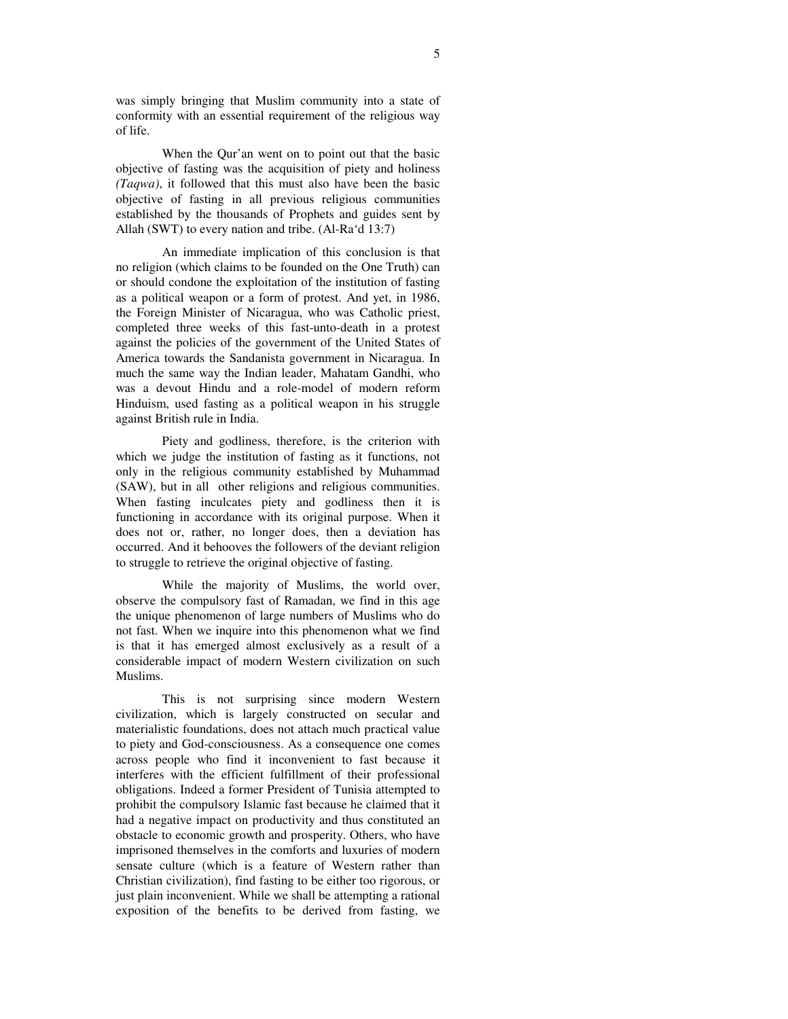was simply bringing that Muslim community into a state of conformity with an essential requirement of the religious way of life.

When the Qur'an went on to point out that the basic objective of fasting was the acquisition of piety and holiness *(Taqwa)*, it followed that this must also have been the basic objective of fasting in all previous religious communities established by the thousands of Prophets and guides sent by Allah (SWT) to every nation and tribe. (Al-Ra'd 13:7)

An immediate implication of this conclusion is that no religion (which claims to be founded on the One Truth) can or should condone the exploitation of the institution of fasting as a political weapon or a form of protest. And yet, in 1986, the Foreign Minister of Nicaragua, who was Catholic priest, completed three weeks of this fast-unto-death in a protest against the policies of the government of the United States of America towards the Sandanista government in Nicaragua. In much the same way the Indian leader, Mahatam Gandhi, who was a devout Hindu and a role-model of modern reform Hinduism, used fasting as a political weapon in his struggle against British rule in India.

Piety and godliness, therefore, is the criterion with which we judge the institution of fasting as it functions, not only in the religious community established by Muhammad (SAW), but in all other religions and religious communities. When fasting inculcates piety and godliness then it is functioning in accordance with its original purpose. When it does not or, rather, no longer does, then a deviation has occurred. And it behooves the followers of the deviant religion to struggle to retrieve the original objective of fasting.

While the majority of Muslims, the world over, observe the compulsory fast of Ramadan, we find in this age the unique phenomenon of large numbers of Muslims who do not fast. When we inquire into this phenomenon what we find is that it has emerged almost exclusively as a result of a considerable impact of modern Western civilization on such Muslims.

This is not surprising since modern Western civilization, which is largely constructed on secular and materialistic foundations, does not attach much practical value to piety and God-consciousness. As a consequence one comes across people who find it inconvenient to fast because it interferes with the efficient fulfillment of their professional obligations. Indeed a former President of Tunisia attempted to prohibit the compulsory Islamic fast because he claimed that it had a negative impact on productivity and thus constituted an obstacle to economic growth and prosperity. Others, who have imprisoned themselves in the comforts and luxuries of modern sensate culture (which is a feature of Western rather than Christian civilization), find fasting to be either too rigorous, or just plain inconvenient. While we shall be attempting a rational exposition of the benefits to be derived from fasting, we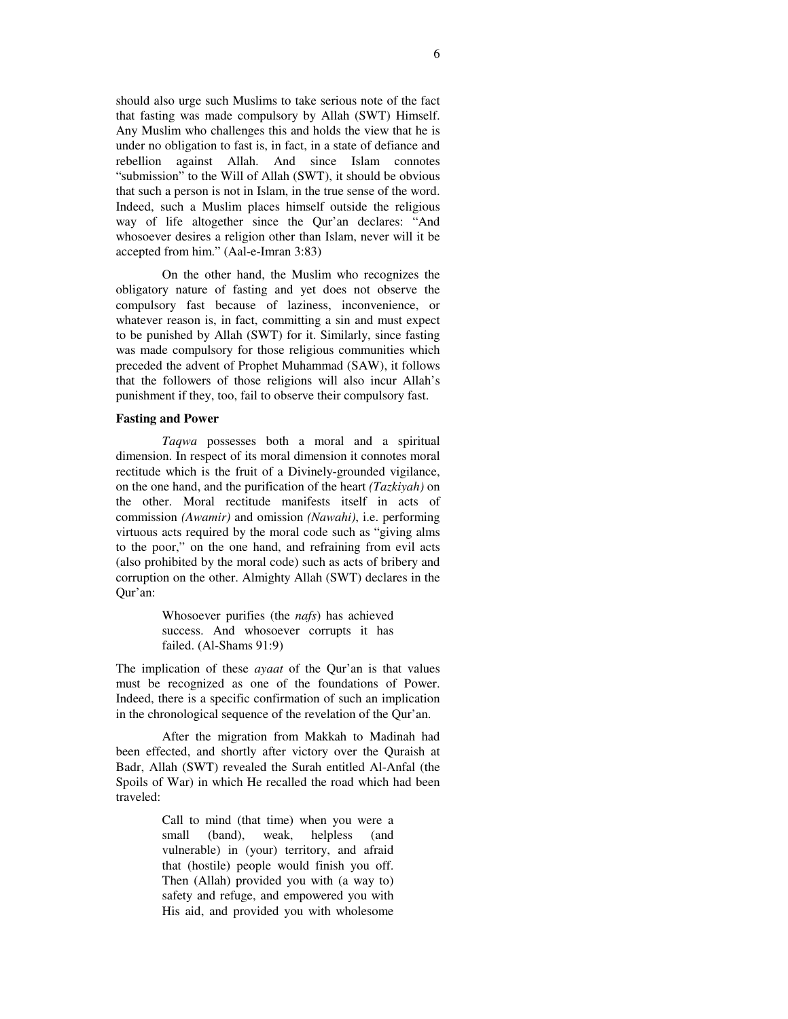should also urge such Muslims to take serious note of the fact that fasting was made compulsory by Allah (SWT) Himself. Any Muslim who challenges this and holds the view that he is under no obligation to fast is, in fact, in a state of defiance and rebellion against Allah. And since Islam connotes "submission" to the Will of Allah (SWT), it should be obvious that such a person is not in Islam, in the true sense of the word. Indeed, such a Muslim places himself outside the religious way of life altogether since the Qur'an declares: "And whosoever desires a religion other than Islam, never will it be accepted from him." (Aal-e-Imran 3:83)

On the other hand, the Muslim who recognizes the obligatory nature of fasting and yet does not observe the compulsory fast because of laziness, inconvenience, or whatever reason is, in fact, committing a sin and must expect to be punished by Allah (SWT) for it. Similarly, since fasting was made compulsory for those religious communities which preceded the advent of Prophet Muhammad (SAW), it follows that the followers of those religions will also incur Allah's punishment if they, too, fail to observe their compulsory fast.

## **Fasting and Power**

*Taqwa* possesses both a moral and a spiritual dimension. In respect of its moral dimension it connotes moral rectitude which is the fruit of a Divinely-grounded vigilance, on the one hand, and the purification of the heart *(Tazkiyah)* on the other. Moral rectitude manifests itself in acts of commission *(Awamir)* and omission *(Nawahi)*, i.e. performing virtuous acts required by the moral code such as "giving alms to the poor," on the one hand, and refraining from evil acts (also prohibited by the moral code) such as acts of bribery and corruption on the other. Almighty Allah (SWT) declares in the Qur'an:

> Whosoever purifies (the *nafs*) has achieved success. And whosoever corrupts it has failed. (Al-Shams 91:9)

The implication of these *ayaat* of the Qur'an is that values must be recognized as one of the foundations of Power. Indeed, there is a specific confirmation of such an implication in the chronological sequence of the revelation of the Qur'an.

After the migration from Makkah to Madinah had been effected, and shortly after victory over the Quraish at Badr, Allah (SWT) revealed the Surah entitled Al-Anfal (the Spoils of War) in which He recalled the road which had been traveled:

> Call to mind (that time) when you were a small (band), weak, helpless (and vulnerable) in (your) territory, and afraid that (hostile) people would finish you off. Then (Allah) provided you with (a way to) safety and refuge, and empowered you with His aid, and provided you with wholesome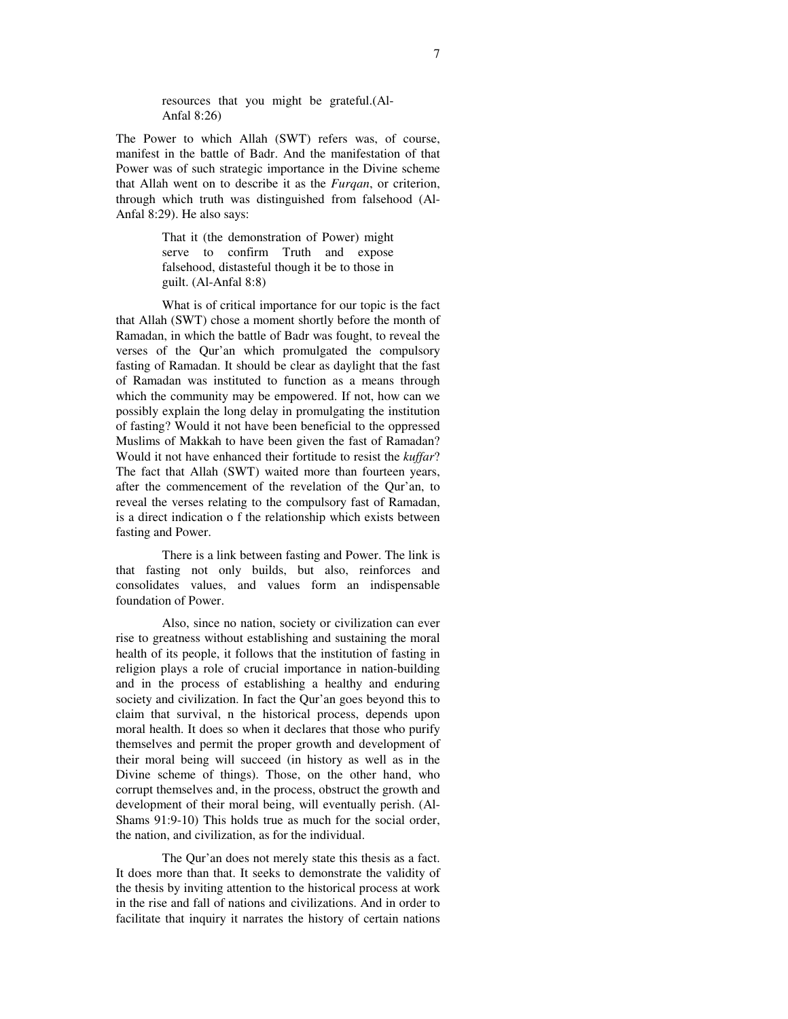resources that you might be grateful.(Al-Anfal 8:26)

The Power to which Allah (SWT) refers was, of course, manifest in the battle of Badr. And the manifestation of that Power was of such strategic importance in the Divine scheme that Allah went on to describe it as the *Furqan*, or criterion, through which truth was distinguished from falsehood (Al-Anfal 8:29). He also says:

> That it (the demonstration of Power) might serve to confirm Truth and expose falsehood, distasteful though it be to those in guilt. (Al-Anfal 8:8)

What is of critical importance for our topic is the fact that Allah (SWT) chose a moment shortly before the month of Ramadan, in which the battle of Badr was fought, to reveal the verses of the Qur'an which promulgated the compulsory fasting of Ramadan. It should be clear as daylight that the fast of Ramadan was instituted to function as a means through which the community may be empowered. If not, how can we possibly explain the long delay in promulgating the institution of fasting? Would it not have been beneficial to the oppressed Muslims of Makkah to have been given the fast of Ramadan? Would it not have enhanced their fortitude to resist the *kuffar*? The fact that Allah (SWT) waited more than fourteen years, after the commencement of the revelation of the Qur'an, to reveal the verses relating to the compulsory fast of Ramadan, is a direct indication o f the relationship which exists between fasting and Power.

There is a link between fasting and Power. The link is that fasting not only builds, but also, reinforces and consolidates values, and values form an indispensable foundation of Power.

Also, since no nation, society or civilization can ever rise to greatness without establishing and sustaining the moral health of its people, it follows that the institution of fasting in religion plays a role of crucial importance in nation-building and in the process of establishing a healthy and enduring society and civilization. In fact the Qur'an goes beyond this to claim that survival, n the historical process, depends upon moral health. It does so when it declares that those who purify themselves and permit the proper growth and development of their moral being will succeed (in history as well as in the Divine scheme of things). Those, on the other hand, who corrupt themselves and, in the process, obstruct the growth and development of their moral being, will eventually perish. (Al-Shams 91:9-10) This holds true as much for the social order, the nation, and civilization, as for the individual.

The Qur'an does not merely state this thesis as a fact. It does more than that. It seeks to demonstrate the validity of the thesis by inviting attention to the historical process at work in the rise and fall of nations and civilizations. And in order to facilitate that inquiry it narrates the history of certain nations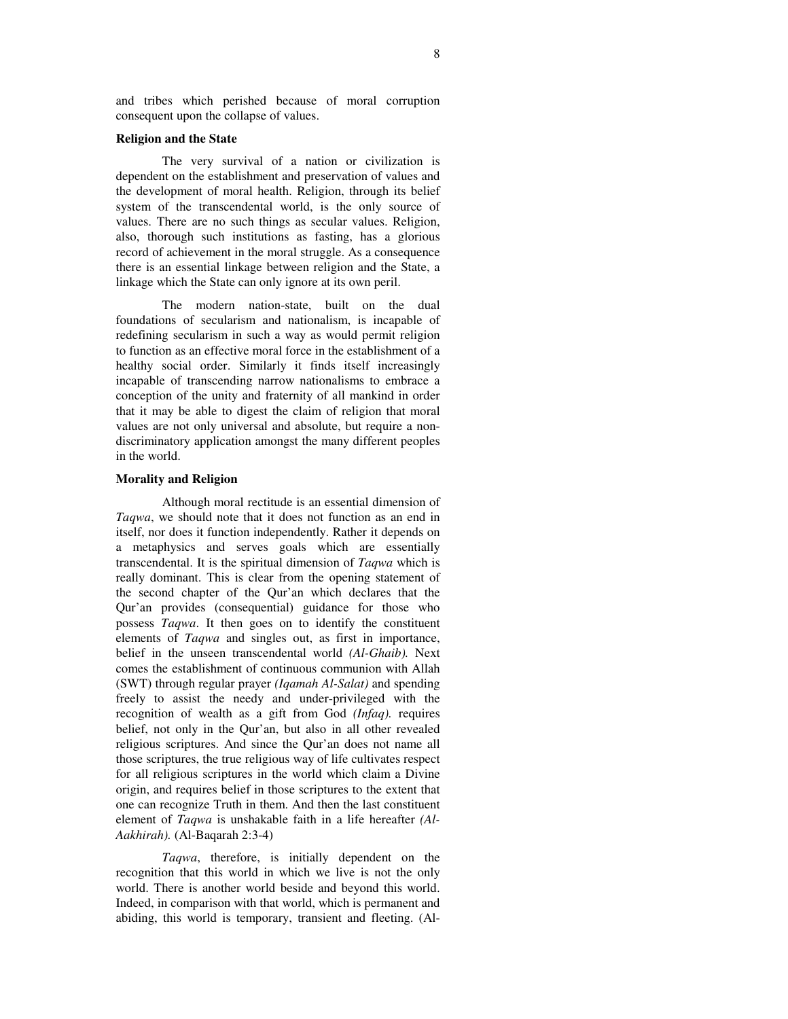and tribes which perished because of moral corruption consequent upon the collapse of values.

#### **Religion and the State**

The very survival of a nation or civilization is dependent on the establishment and preservation of values and the development of moral health. Religion, through its belief system of the transcendental world, is the only source of values. There are no such things as secular values. Religion, also, thorough such institutions as fasting, has a glorious record of achievement in the moral struggle. As a consequence there is an essential linkage between religion and the State, a linkage which the State can only ignore at its own peril.

The modern nation-state, built on the dual foundations of secularism and nationalism, is incapable of redefining secularism in such a way as would permit religion to function as an effective moral force in the establishment of a healthy social order. Similarly it finds itself increasingly incapable of transcending narrow nationalisms to embrace a conception of the unity and fraternity of all mankind in order that it may be able to digest the claim of religion that moral values are not only universal and absolute, but require a nondiscriminatory application amongst the many different peoples in the world.

#### **Morality and Religion**

Although moral rectitude is an essential dimension of *Taqwa*, we should note that it does not function as an end in itself, nor does it function independently. Rather it depends on a metaphysics and serves goals which are essentially transcendental. It is the spiritual dimension of *Taqwa* which is really dominant. This is clear from the opening statement of the second chapter of the Qur'an which declares that the Qur'an provides (consequential) guidance for those who possess *Taqwa*. It then goes on to identify the constituent elements of *Taqwa* and singles out, as first in importance, belief in the unseen transcendental world *(Al-Ghaib).* Next comes the establishment of continuous communion with Allah (SWT) through regular prayer *(Iqamah Al-Salat)* and spending freely to assist the needy and under-privileged with the recognition of wealth as a gift from God *(Infaq).* requires belief, not only in the Qur'an, but also in all other revealed religious scriptures. And since the Qur'an does not name all those scriptures, the true religious way of life cultivates respect for all religious scriptures in the world which claim a Divine origin, and requires belief in those scriptures to the extent that one can recognize Truth in them. And then the last constituent element of *Taqwa* is unshakable faith in a life hereafter *(Al-Aakhirah).* (Al-Baqarah 2:3-4)

*Taqwa*, therefore, is initially dependent on the recognition that this world in which we live is not the only world. There is another world beside and beyond this world. Indeed, in comparison with that world, which is permanent and abiding, this world is temporary, transient and fleeting. (Al-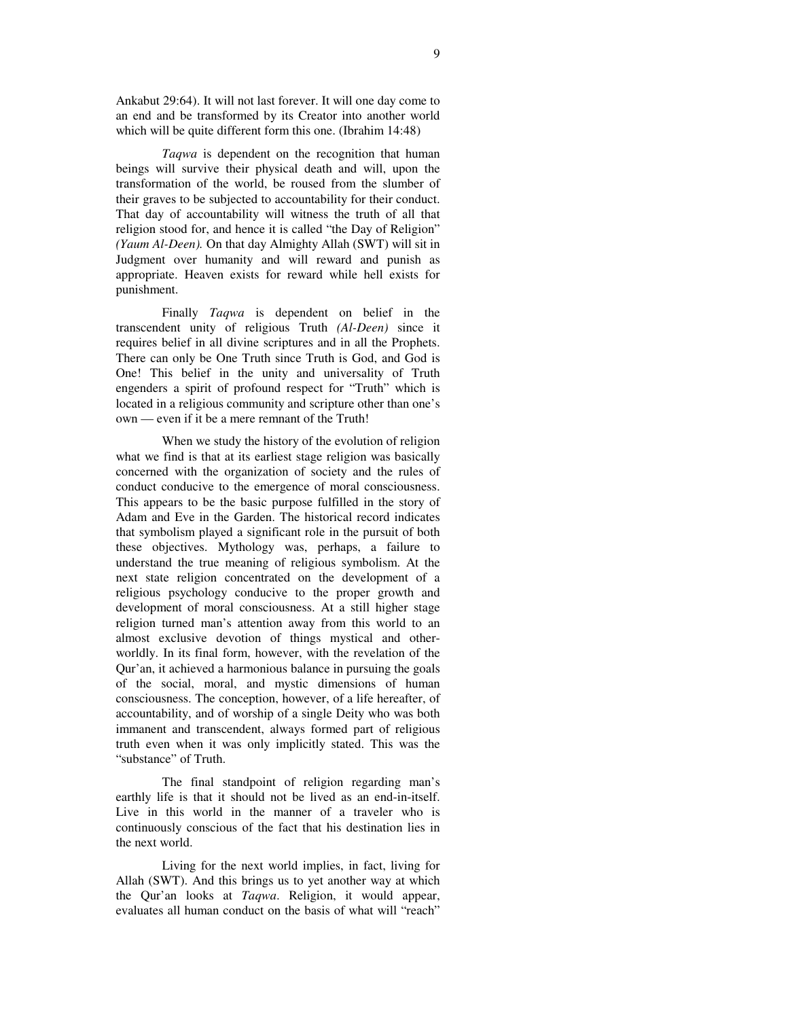Ankabut 29:64). It will not last forever. It will one day come to an end and be transformed by its Creator into another world which will be quite different form this one. (Ibrahim 14:48)

*Taqwa* is dependent on the recognition that human beings will survive their physical death and will, upon the transformation of the world, be roused from the slumber of their graves to be subjected to accountability for their conduct. That day of accountability will witness the truth of all that religion stood for, and hence it is called "the Day of Religion" *(Yaum Al-Deen).* On that day Almighty Allah (SWT) will sit in Judgment over humanity and will reward and punish as appropriate. Heaven exists for reward while hell exists for punishment.

Finally *Taqwa* is dependent on belief in the transcendent unity of religious Truth *(Al-Deen)* since it requires belief in all divine scriptures and in all the Prophets. There can only be One Truth since Truth is God, and God is One! This belief in the unity and universality of Truth engenders a spirit of profound respect for "Truth" which is located in a religious community and scripture other than one's own — even if it be a mere remnant of the Truth!

When we study the history of the evolution of religion what we find is that at its earliest stage religion was basically concerned with the organization of society and the rules of conduct conducive to the emergence of moral consciousness. This appears to be the basic purpose fulfilled in the story of Adam and Eve in the Garden. The historical record indicates that symbolism played a significant role in the pursuit of both these objectives. Mythology was, perhaps, a failure to understand the true meaning of religious symbolism. At the next state religion concentrated on the development of a religious psychology conducive to the proper growth and development of moral consciousness. At a still higher stage religion turned man's attention away from this world to an almost exclusive devotion of things mystical and otherworldly. In its final form, however, with the revelation of the Qur'an, it achieved a harmonious balance in pursuing the goals of the social, moral, and mystic dimensions of human consciousness. The conception, however, of a life hereafter, of accountability, and of worship of a single Deity who was both immanent and transcendent, always formed part of religious truth even when it was only implicitly stated. This was the "substance" of Truth.

The final standpoint of religion regarding man's earthly life is that it should not be lived as an end-in-itself. Live in this world in the manner of a traveler who is continuously conscious of the fact that his destination lies in the next world.

Living for the next world implies, in fact, living for Allah (SWT). And this brings us to yet another way at which the Qur'an looks at *Taqwa*. Religion, it would appear, evaluates all human conduct on the basis of what will "reach"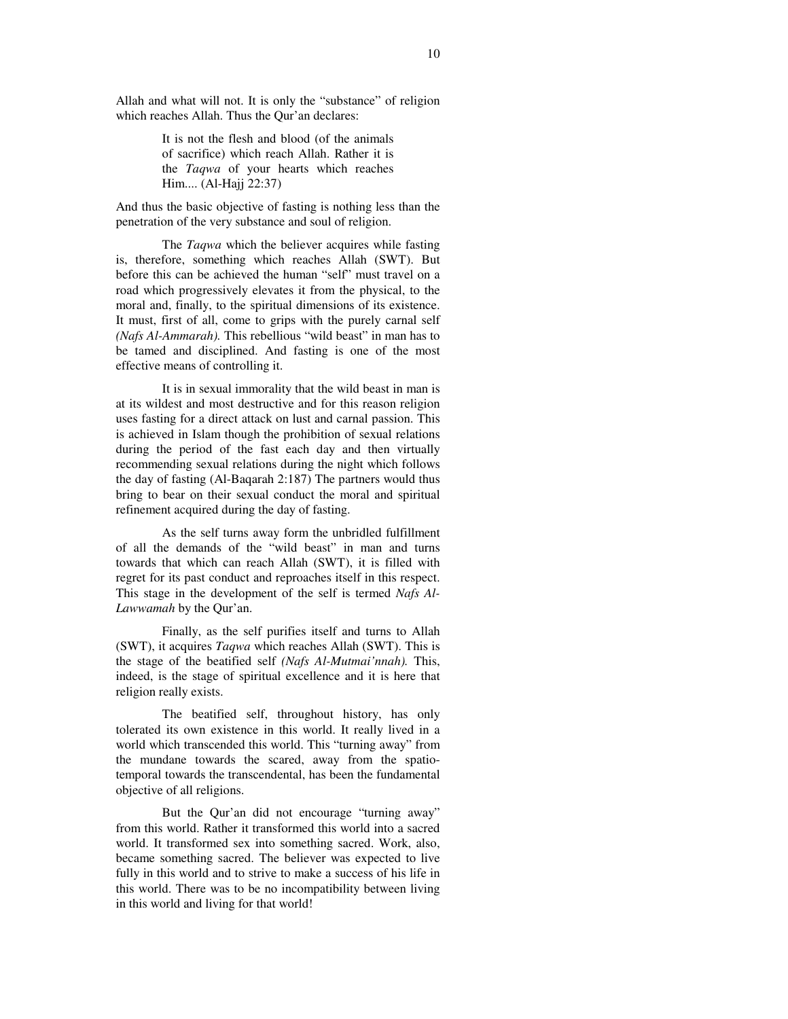Allah and what will not. It is only the "substance" of religion which reaches Allah. Thus the Our'an declares:

> It is not the flesh and blood (of the animals of sacrifice) which reach Allah. Rather it is the *Taqwa* of your hearts which reaches Him.... (Al-Hajj 22:37)

And thus the basic objective of fasting is nothing less than the penetration of the very substance and soul of religion.

The *Taqwa* which the believer acquires while fasting is, therefore, something which reaches Allah (SWT). But before this can be achieved the human "self" must travel on a road which progressively elevates it from the physical, to the moral and, finally, to the spiritual dimensions of its existence. It must, first of all, come to grips with the purely carnal self *(Nafs Al-Ammarah).* This rebellious "wild beast" in man has to be tamed and disciplined. And fasting is one of the most effective means of controlling it.

It is in sexual immorality that the wild beast in man is at its wildest and most destructive and for this reason religion uses fasting for a direct attack on lust and carnal passion. This is achieved in Islam though the prohibition of sexual relations during the period of the fast each day and then virtually recommending sexual relations during the night which follows the day of fasting (Al-Baqarah 2:187) The partners would thus bring to bear on their sexual conduct the moral and spiritual refinement acquired during the day of fasting.

As the self turns away form the unbridled fulfillment of all the demands of the "wild beast" in man and turns towards that which can reach Allah (SWT), it is filled with regret for its past conduct and reproaches itself in this respect. This stage in the development of the self is termed *Nafs Al-Lawwamah* by the Qur'an.

Finally, as the self purifies itself and turns to Allah (SWT), it acquires *Taqwa* which reaches Allah (SWT). This is the stage of the beatified self *(Nafs Al-Mutmai'nnah).* This, indeed, is the stage of spiritual excellence and it is here that religion really exists.

The beatified self, throughout history, has only tolerated its own existence in this world. It really lived in a world which transcended this world. This "turning away" from the mundane towards the scared, away from the spatiotemporal towards the transcendental, has been the fundamental objective of all religions.

But the Qur'an did not encourage "turning away" from this world. Rather it transformed this world into a sacred world. It transformed sex into something sacred. Work, also, became something sacred. The believer was expected to live fully in this world and to strive to make a success of his life in this world. There was to be no incompatibility between living in this world and living for that world!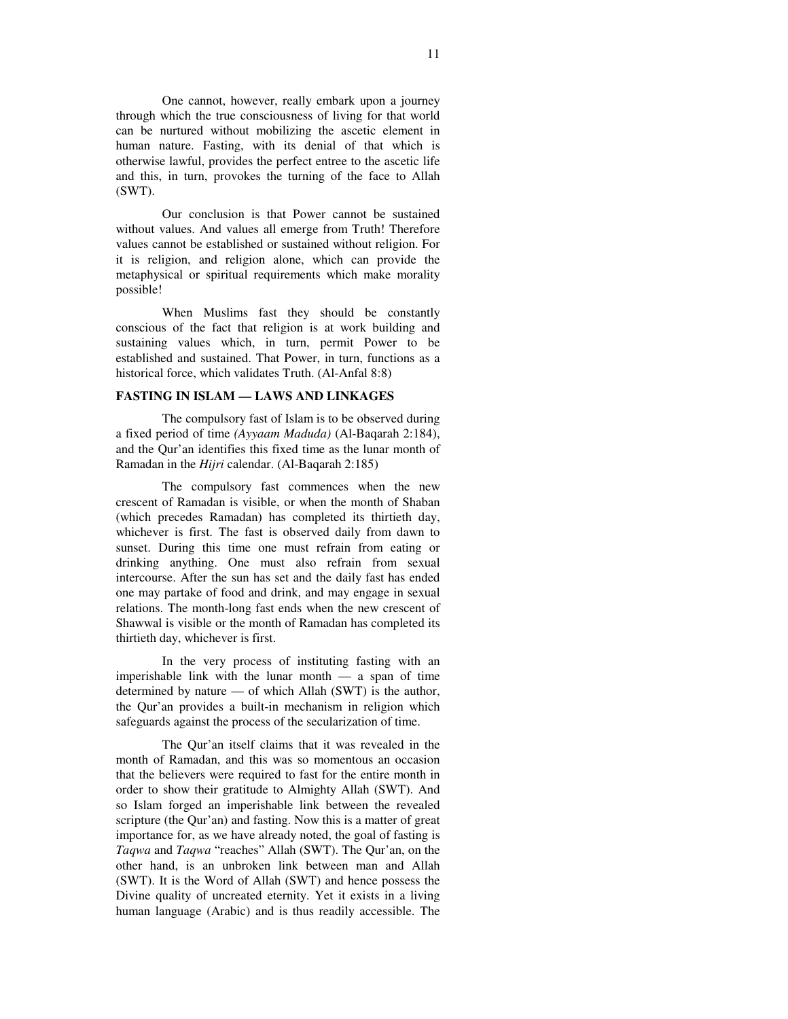One cannot, however, really embark upon a journey through which the true consciousness of living for that world can be nurtured without mobilizing the ascetic element in human nature. Fasting, with its denial of that which is otherwise lawful, provides the perfect entree to the ascetic life and this, in turn, provokes the turning of the face to Allah (SWT).

Our conclusion is that Power cannot be sustained without values. And values all emerge from Truth! Therefore values cannot be established or sustained without religion. For it is religion, and religion alone, which can provide the metaphysical or spiritual requirements which make morality possible!

When Muslims fast they should be constantly conscious of the fact that religion is at work building and sustaining values which, in turn, permit Power to be established and sustained. That Power, in turn, functions as a historical force, which validates Truth. (Al-Anfal 8:8)

### **FASTING IN ISLAM — LAWS AND LINKAGES**

The compulsory fast of Islam is to be observed during a fixed period of time *(Ayyaam Maduda)* (Al-Baqarah 2:184), and the Qur'an identifies this fixed time as the lunar month of Ramadan in the *Hijri* calendar. (Al-Baqarah 2:185)

The compulsory fast commences when the new crescent of Ramadan is visible, or when the month of Shaban (which precedes Ramadan) has completed its thirtieth day, whichever is first. The fast is observed daily from dawn to sunset. During this time one must refrain from eating or drinking anything. One must also refrain from sexual intercourse. After the sun has set and the daily fast has ended one may partake of food and drink, and may engage in sexual relations. The month-long fast ends when the new crescent of Shawwal is visible or the month of Ramadan has completed its thirtieth day, whichever is first.

In the very process of instituting fasting with an imperishable link with the lunar month  $-$  a span of time determined by nature — of which Allah (SWT) is the author, the Qur'an provides a built-in mechanism in religion which safeguards against the process of the secularization of time.

The Qur'an itself claims that it was revealed in the month of Ramadan, and this was so momentous an occasion that the believers were required to fast for the entire month in order to show their gratitude to Almighty Allah (SWT). And so Islam forged an imperishable link between the revealed scripture (the Qur'an) and fasting. Now this is a matter of great importance for, as we have already noted, the goal of fasting is *Taqwa* and *Taqwa* "reaches" Allah (SWT). The Qur'an, on the other hand, is an unbroken link between man and Allah (SWT). It is the Word of Allah (SWT) and hence possess the Divine quality of uncreated eternity. Yet it exists in a living human language (Arabic) and is thus readily accessible. The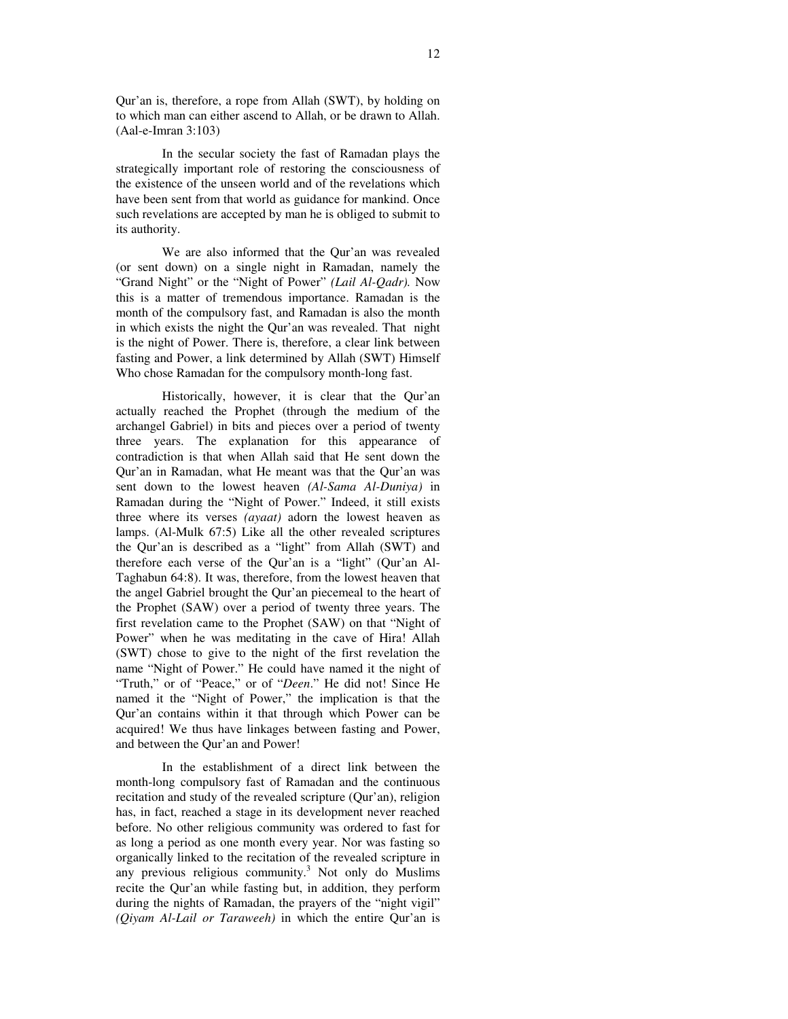Qur'an is, therefore, a rope from Allah (SWT), by holding on to which man can either ascend to Allah, or be drawn to Allah. (Aal-e-Imran 3:103)

In the secular society the fast of Ramadan plays the strategically important role of restoring the consciousness of the existence of the unseen world and of the revelations which have been sent from that world as guidance for mankind. Once such revelations are accepted by man he is obliged to submit to its authority.

We are also informed that the Qur'an was revealed (or sent down) on a single night in Ramadan, namely the "Grand Night" or the "Night of Power" *(Lail Al-Qadr).* Now this is a matter of tremendous importance. Ramadan is the month of the compulsory fast, and Ramadan is also the month in which exists the night the Qur'an was revealed. That night is the night of Power. There is, therefore, a clear link between fasting and Power, a link determined by Allah (SWT) Himself Who chose Ramadan for the compulsory month-long fast.

Historically, however, it is clear that the Qur'an actually reached the Prophet (through the medium of the archangel Gabriel) in bits and pieces over a period of twenty three years. The explanation for this appearance of contradiction is that when Allah said that He sent down the Qur'an in Ramadan, what He meant was that the Qur'an was sent down to the lowest heaven *(Al-Sama Al-Duniya)* in Ramadan during the "Night of Power." Indeed, it still exists three where its verses *(ayaat)* adorn the lowest heaven as lamps. (Al-Mulk 67:5) Like all the other revealed scriptures the Qur'an is described as a "light" from Allah (SWT) and therefore each verse of the Qur'an is a "light" (Qur'an Al-Taghabun 64:8). It was, therefore, from the lowest heaven that the angel Gabriel brought the Qur'an piecemeal to the heart of the Prophet (SAW) over a period of twenty three years. The first revelation came to the Prophet (SAW) on that "Night of Power" when he was meditating in the cave of Hira! Allah (SWT) chose to give to the night of the first revelation the name "Night of Power." He could have named it the night of "Truth," or of "Peace," or of "*Deen*." He did not! Since He named it the "Night of Power," the implication is that the Qur'an contains within it that through which Power can be acquired! We thus have linkages between fasting and Power, and between the Qur'an and Power!

In the establishment of a direct link between the month-long compulsory fast of Ramadan and the continuous recitation and study of the revealed scripture (Qur'an), religion has, in fact, reached a stage in its development never reached before. No other religious community was ordered to fast for as long a period as one month every year. Nor was fasting so organically linked to the recitation of the revealed scripture in any previous religious community. <sup>3</sup> Not only do Muslims recite the Qur'an while fasting but, in addition, they perform during the nights of Ramadan, the prayers of the "night vigil" *(Qiyam Al-Lail or Taraweeh)* in which the entire Qur'an is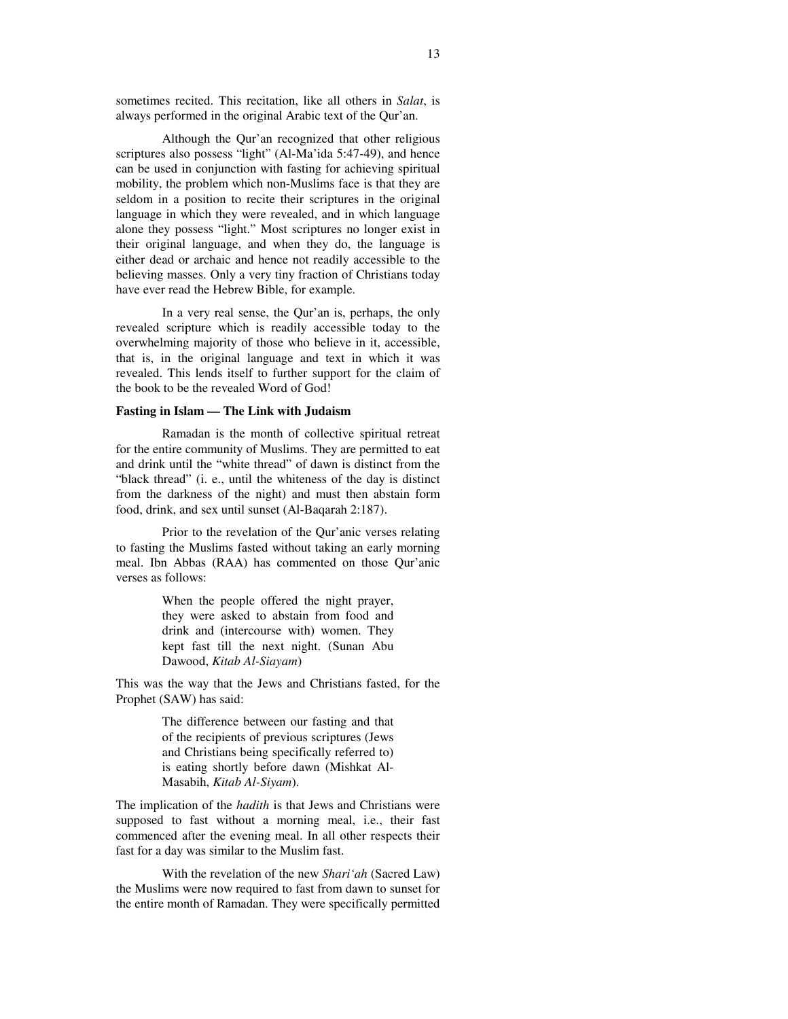sometimes recited. This recitation, like all others in *Salat*, is always performed in the original Arabic text of the Qur'an.

Although the Qur'an recognized that other religious scriptures also possess "light" (Al-Ma'ida 5:47-49), and hence can be used in conjunction with fasting for achieving spiritual mobility, the problem which non-Muslims face is that they are seldom in a position to recite their scriptures in the original language in which they were revealed, and in which language alone they possess "light." Most scriptures no longer exist in their original language, and when they do, the language is either dead or archaic and hence not readily accessible to the believing masses. Only a very tiny fraction of Christians today have ever read the Hebrew Bible, for example.

In a very real sense, the Qur'an is, perhaps, the only revealed scripture which is readily accessible today to the overwhelming majority of those who believe in it, accessible, that is, in the original language and text in which it was revealed. This lends itself to further support for the claim of the book to be the revealed Word of God!

## **Fasting in Islam — The Link with Judaism**

Ramadan is the month of collective spiritual retreat for the entire community of Muslims. They are permitted to eat and drink until the "white thread" of dawn is distinct from the "black thread" (i. e., until the whiteness of the day is distinct from the darkness of the night) and must then abstain form food, drink, and sex until sunset (Al-Baqarah 2:187).

Prior to the revelation of the Qur'anic verses relating to fasting the Muslims fasted without taking an early morning meal. Ibn Abbas (RAA) has commented on those Qur'anic verses as follows:

> When the people offered the night prayer, they were asked to abstain from food and drink and (intercourse with) women. They kept fast till the next night. (Sunan Abu Dawood, *Kitab Al-Siayam*)

This was the way that the Jews and Christians fasted, for the Prophet (SAW) has said:

> The difference between our fasting and that of the recipients of previous scriptures (Jews and Christians being specifically referred to) is eating shortly before dawn (Mishkat Al-Masabih, *Kitab Al-Siyam*).

The implication of the *hadith* is that Jews and Christians were supposed to fast without a morning meal, i.e., their fast commenced after the evening meal. In all other respects their fast for a day was similar to the Muslim fast.

With the revelation of the new *Shari'ah* (Sacred Law) the Muslims were now required to fast from dawn to sunset for the entire month of Ramadan. They were specifically permitted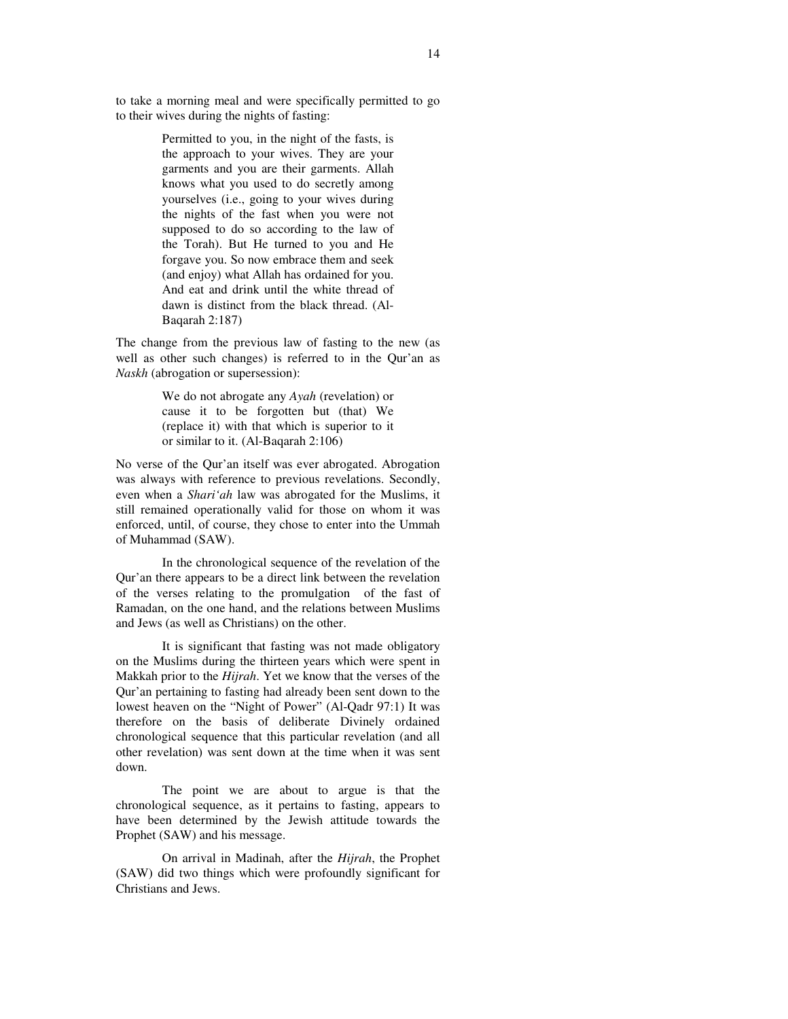to take a morning meal and were specifically permitted to go to their wives during the nights of fasting:

> Permitted to you, in the night of the fasts, is the approach to your wives. They are your garments and you are their garments. Allah knows what you used to do secretly among yourselves (i.e., going to your wives during the nights of the fast when you were not supposed to do so according to the law of the Torah). But He turned to you and He forgave you. So now embrace them and seek (and enjoy) what Allah has ordained for you. And eat and drink until the white thread of dawn is distinct from the black thread. (Al-Baqarah 2:187)

The change from the previous law of fasting to the new (as well as other such changes) is referred to in the Qur'an as *Naskh* (abrogation or supersession):

> We do not abrogate any *Ayah* (revelation) or cause it to be forgotten but (that) We (replace it) with that which is superior to it or similar to it. (Al-Baqarah 2:106)

No verse of the Qur'an itself was ever abrogated. Abrogation was always with reference to previous revelations. Secondly, even when a *Shari'ah* law was abrogated for the Muslims, it still remained operationally valid for those on whom it was enforced, until, of course, they chose to enter into the Ummah of Muhammad (SAW).

In the chronological sequence of the revelation of the Qur'an there appears to be a direct link between the revelation of the verses relating to the promulgation of the fast of Ramadan, on the one hand, and the relations between Muslims and Jews (as well as Christians) on the other.

It is significant that fasting was not made obligatory on the Muslims during the thirteen years which were spent in Makkah prior to the *Hijrah*. Yet we know that the verses of the Qur'an pertaining to fasting had already been sent down to the lowest heaven on the "Night of Power" (Al-Qadr 97:1) It was therefore on the basis of deliberate Divinely ordained chronological sequence that this particular revelation (and all other revelation) was sent down at the time when it was sent down.

The point we are about to argue is that the chronological sequence, as it pertains to fasting, appears to have been determined by the Jewish attitude towards the Prophet (SAW) and his message.

On arrival in Madinah, after the *Hijrah*, the Prophet (SAW) did two things which were profoundly significant for Christians and Jews.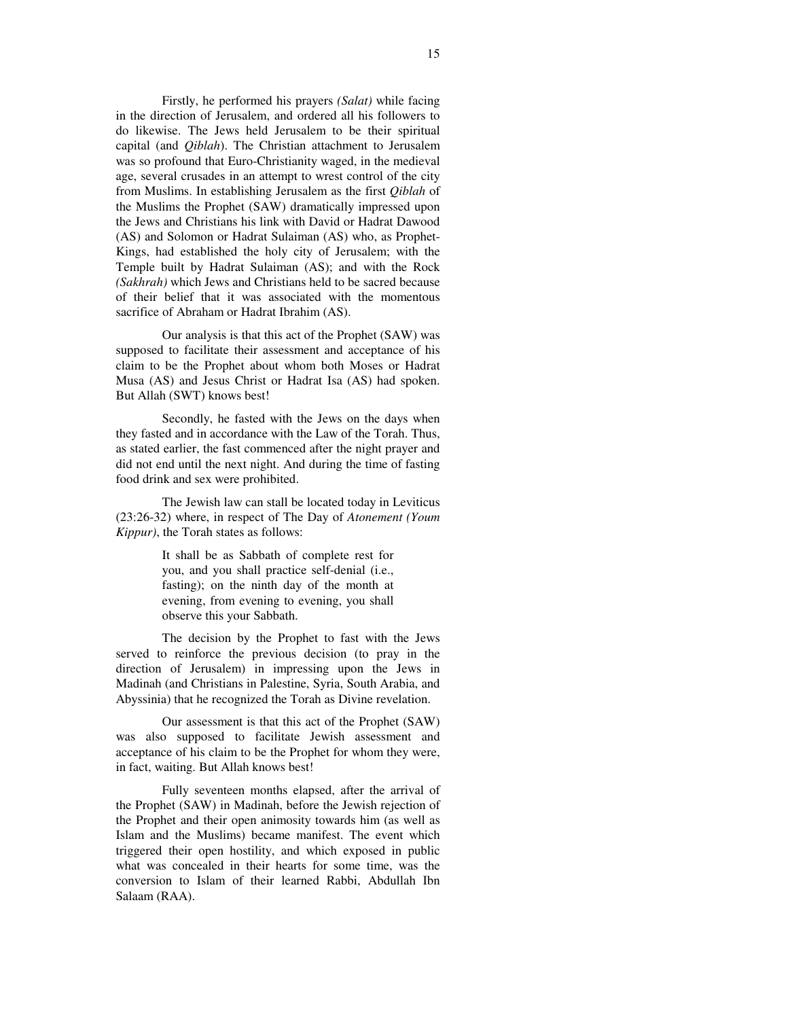Firstly, he performed his prayers *(Salat)* while facing in the direction of Jerusalem, and ordered all his followers to do likewise. The Jews held Jerusalem to be their spiritual capital (and *Qiblah*). The Christian attachment to Jerusalem was so profound that Euro-Christianity waged, in the medieval age, several crusades in an attempt to wrest control of the city from Muslims. In establishing Jerusalem as the first *Qiblah* of the Muslims the Prophet (SAW) dramatically impressed upon the Jews and Christians his link with David or Hadrat Dawood (AS) and Solomon or Hadrat Sulaiman (AS) who, as Prophet-Kings, had established the holy city of Jerusalem; with the Temple built by Hadrat Sulaiman (AS); and with the Rock *(Sakhrah)* which Jews and Christians held to be sacred because of their belief that it was associated with the momentous sacrifice of Abraham or Hadrat Ibrahim (AS).

Our analysis is that this act of the Prophet (SAW) was supposed to facilitate their assessment and acceptance of his claim to be the Prophet about whom both Moses or Hadrat Musa (AS) and Jesus Christ or Hadrat Isa (AS) had spoken. But Allah (SWT) knows best!

Secondly, he fasted with the Jews on the days when they fasted and in accordance with the Law of the Torah. Thus, as stated earlier, the fast commenced after the night prayer and did not end until the next night. And during the time of fasting food drink and sex were prohibited.

The Jewish law can stall be located today in Leviticus (23:26-32) where, in respect of The Day of *Atonement (Youm Kippur)*, the Torah states as follows:

> It shall be as Sabbath of complete rest for you, and you shall practice self-denial (i.e., fasting); on the ninth day of the month at evening, from evening to evening, you shall observe this your Sabbath.

The decision by the Prophet to fast with the Jews served to reinforce the previous decision (to pray in the direction of Jerusalem) in impressing upon the Jews in Madinah (and Christians in Palestine, Syria, South Arabia, and Abyssinia) that he recognized the Torah as Divine revelation.

Our assessment is that this act of the Prophet (SAW) was also supposed to facilitate Jewish assessment and acceptance of his claim to be the Prophet for whom they were, in fact, waiting. But Allah knows best!

Fully seventeen months elapsed, after the arrival of the Prophet (SAW) in Madinah, before the Jewish rejection of the Prophet and their open animosity towards him (as well as Islam and the Muslims) became manifest. The event which triggered their open hostility, and which exposed in public what was concealed in their hearts for some time, was the conversion to Islam of their learned Rabbi, Abdullah Ibn Salaam (RAA).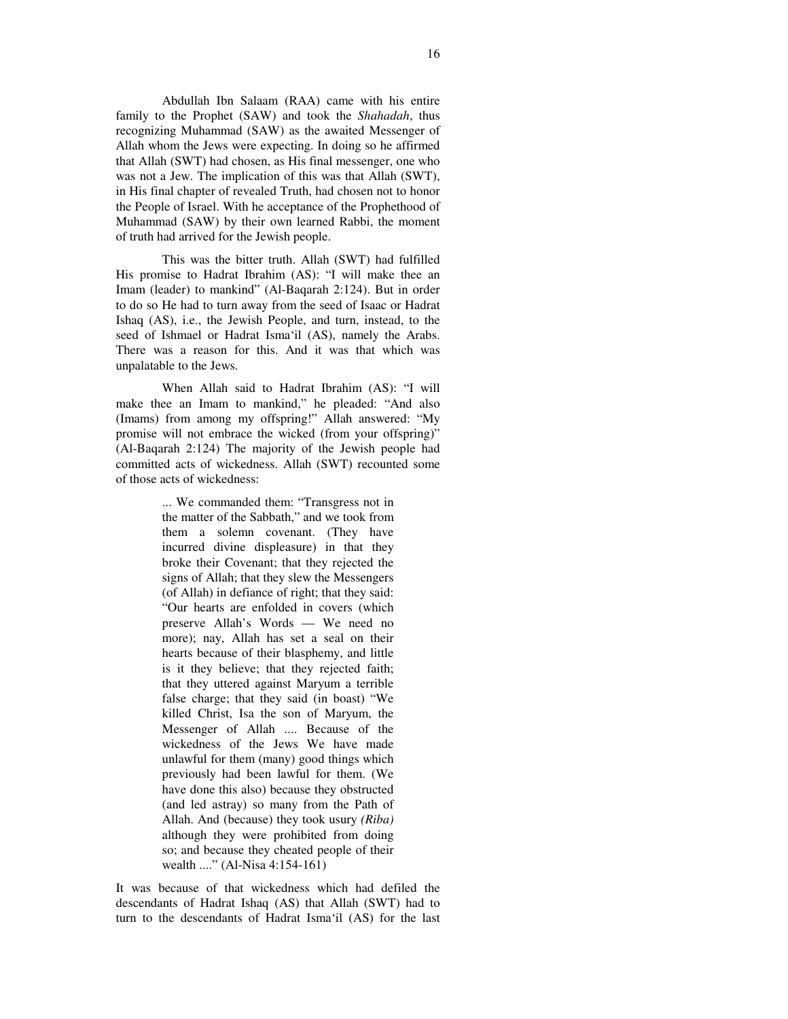Abdullah Ibn Salaam (RAA) came with his entire family to the Prophet (SAW) and took the *Shahadah*, thus recognizing Muhammad (SAW) as the awaited Messenger of Allah whom the Jews were expecting. In doing so he affirmed that Allah (SWT) had chosen, as His final messenger, one who was not a Jew. The implication of this was that Allah (SWT), in His final chapter of revealed Truth, had chosen not to honor the People of Israel. With he acceptance of the Prophethood of Muhammad (SAW) by their own learned Rabbi, the moment of truth had arrived for the Jewish people.

This was the bitter truth. Allah (SWT) had fulfilled His promise to Hadrat Ibrahim (AS): "I will make thee an Imam (leader) to mankind" (Al-Baqarah 2:124). But in order to do so He had to turn away from the seed of Isaac or Hadrat Ishaq (AS), i.e., the Jewish People, and turn, instead, to the seed of Ishmael or Hadrat Isma'il (AS), namely the Arabs. There was a reason for this. And it was that which was unpalatable to the Jews.

When Allah said to Hadrat Ibrahim (AS): "I will make thee an Imam to mankind," he pleaded: "And also (Imams) from among my offspring!" Allah answered: "My promise will not embrace the wicked (from your offspring)" (Al-Baqarah 2:124) The majority of the Jewish people had committed acts of wickedness. Allah (SWT) recounted some of those acts of wickedness:

> ... We commanded them: "Transgress not in the matter of the Sabbath," and we took from them a solemn covenant. (They have incurred divine displeasure) in that they broke their Covenant; that they rejected the signs of Allah; that they slew the Messengers (of Allah) in defiance of right; that they said: "Our hearts are enfolded in covers (which preserve Allah's Words — We need no more); nay, Allah has set a seal on their hearts because of their blasphemy, and little is it they believe; that they rejected faith; that they uttered against Maryum a terrible false charge; that they said (in boast) "We killed Christ, Isa the son of Maryum, the Messenger of Allah .... Because of the wickedness of the Jews We have made unlawful for them (many) good things which previously had been lawful for them. (We have done this also) because they obstructed (and led astray) so many from the Path of Allah. And (because) they took usury *(Riba)* although they were prohibited from doing so; and because they cheated people of their wealth ...." (Al-Nisa 4:154-161)

It was because of that wickedness which had defiled the descendants of Hadrat Ishaq (AS) that Allah (SWT) had to turn to the descendants of Hadrat Isma'il (AS) for the last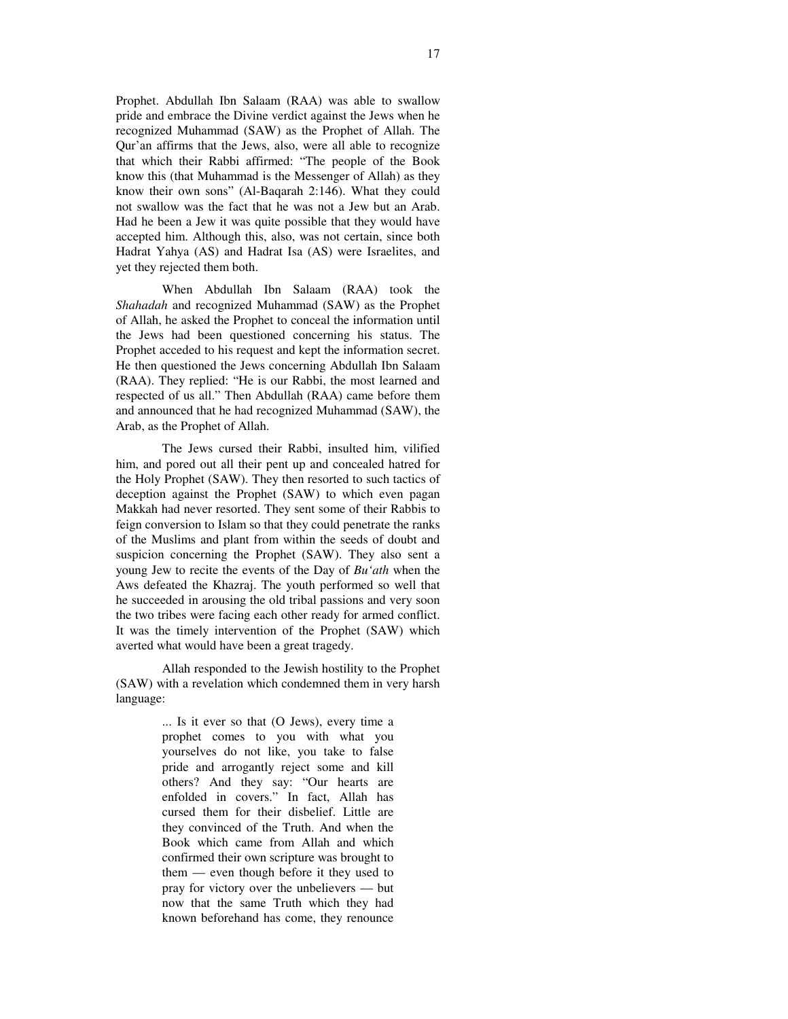Prophet. Abdullah Ibn Salaam (RAA) was able to swallow pride and embrace the Divine verdict against the Jews when he recognized Muhammad (SAW) as the Prophet of Allah. The Qur'an affirms that the Jews, also, were all able to recognize that which their Rabbi affirmed: "The people of the Book know this (that Muhammad is the Messenger of Allah) as they know their own sons" (Al-Baqarah 2:146). What they could not swallow was the fact that he was not a Jew but an Arab. Had he been a Jew it was quite possible that they would have accepted him. Although this, also, was not certain, since both Hadrat Yahya (AS) and Hadrat Isa (AS) were Israelites, and yet they rejected them both.

When Abdullah Ibn Salaam (RAA) took the *Shahadah* and recognized Muhammad (SAW) as the Prophet of Allah, he asked the Prophet to conceal the information until the Jews had been questioned concerning his status. The Prophet acceded to his request and kept the information secret. He then questioned the Jews concerning Abdullah Ibn Salaam (RAA). They replied: "He is our Rabbi, the most learned and respected of us all." Then Abdullah (RAA) came before them and announced that he had recognized Muhammad (SAW), the Arab, as the Prophet of Allah.

The Jews cursed their Rabbi, insulted him, vilified him, and pored out all their pent up and concealed hatred for the Holy Prophet (SAW). They then resorted to such tactics of deception against the Prophet (SAW) to which even pagan Makkah had never resorted. They sent some of their Rabbis to feign conversion to Islam so that they could penetrate the ranks of the Muslims and plant from within the seeds of doubt and suspicion concerning the Prophet (SAW). They also sent a young Jew to recite the events of the Day of *Bu'ath* when the Aws defeated the Khazraj. The youth performed so well that he succeeded in arousing the old tribal passions and very soon the two tribes were facing each other ready for armed conflict. It was the timely intervention of the Prophet (SAW) which averted what would have been a great tragedy.

Allah responded to the Jewish hostility to the Prophet (SAW) with a revelation which condemned them in very harsh language:

> ... Is it ever so that (O Jews), every time a prophet comes to you with what you yourselves do not like, you take to false pride and arrogantly reject some and kill others? And they say: "Our hearts are enfolded in covers." In fact, Allah has cursed them for their disbelief. Little are they convinced of the Truth. And when the Book which came from Allah and which confirmed their own scripture was brought to them — even though before it they used to pray for victory over the unbelievers — but now that the same Truth which they had known beforehand has come, they renounce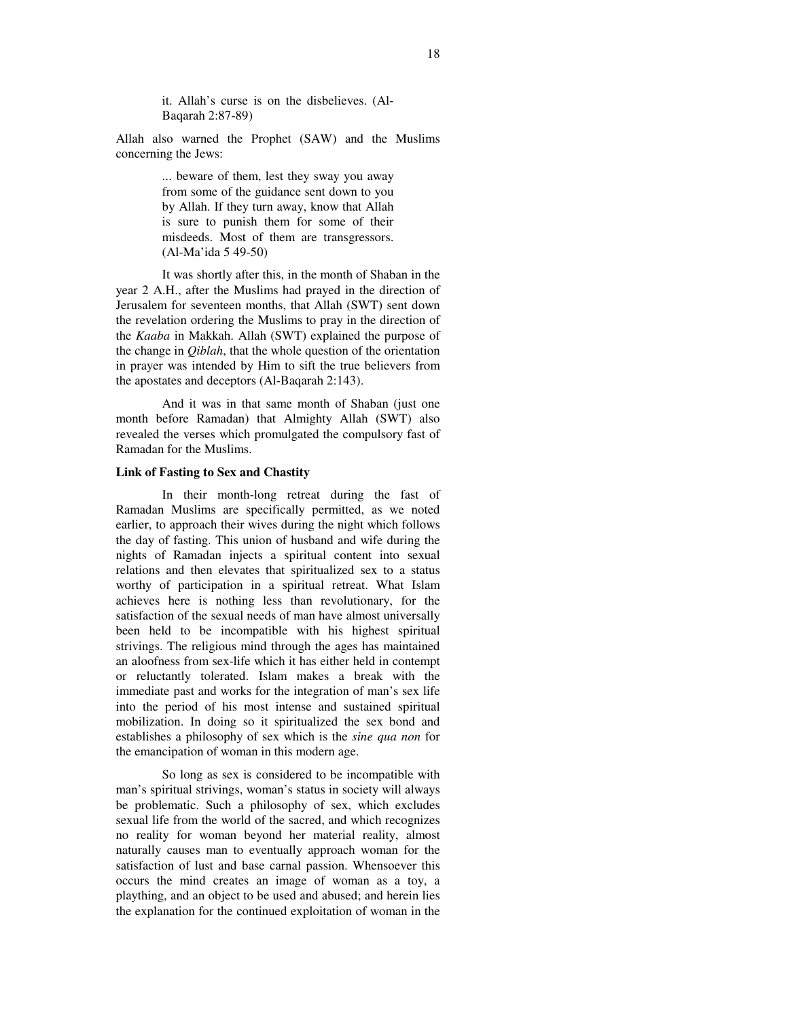it. Allah's curse is on the disbelieves. (Al-Baqarah 2:87-89)

Allah also warned the Prophet (SAW) and the Muslims concerning the Jews:

> ... beware of them, lest they sway you away from some of the guidance sent down to you by Allah. If they turn away, know that Allah is sure to punish them for some of their misdeeds. Most of them are transgressors. (Al-Ma'ida 5 49-50)

It was shortly after this, in the month of Shaban in the year 2 A.H., after the Muslims had prayed in the direction of Jerusalem for seventeen months, that Allah (SWT) sent down the revelation ordering the Muslims to pray in the direction of the *Kaaba* in Makkah. Allah (SWT) explained the purpose of the change in *Qiblah*, that the whole question of the orientation in prayer was intended by Him to sift the true believers from the apostates and deceptors (Al-Baqarah 2:143).

And it was in that same month of Shaban (just one month before Ramadan) that Almighty Allah (SWT) also revealed the verses which promulgated the compulsory fast of Ramadan for the Muslims.

#### **Link of Fasting to Sex and Chastity**

In their month-long retreat during the fast of Ramadan Muslims are specifically permitted, as we noted earlier, to approach their wives during the night which follows the day of fasting. This union of husband and wife during the nights of Ramadan injects a spiritual content into sexual relations and then elevates that spiritualized sex to a status worthy of participation in a spiritual retreat. What Islam achieves here is nothing less than revolutionary, for the satisfaction of the sexual needs of man have almost universally been held to be incompatible with his highest spiritual strivings. The religious mind through the ages has maintained an aloofness from sex-life which it has either held in contempt or reluctantly tolerated. Islam makes a break with the immediate past and works for the integration of man's sex life into the period of his most intense and sustained spiritual mobilization. In doing so it spiritualized the sex bond and establishes a philosophy of sex which is the *sine qua non* for the emancipation of woman in this modern age.

So long as sex is considered to be incompatible with man's spiritual strivings, woman's status in society will always be problematic. Such a philosophy of sex, which excludes sexual life from the world of the sacred, and which recognizes no reality for woman beyond her material reality, almost naturally causes man to eventually approach woman for the satisfaction of lust and base carnal passion. Whensoever this occurs the mind creates an image of woman as a toy, a plaything, and an object to be used and abused; and herein lies the explanation for the continued exploitation of woman in the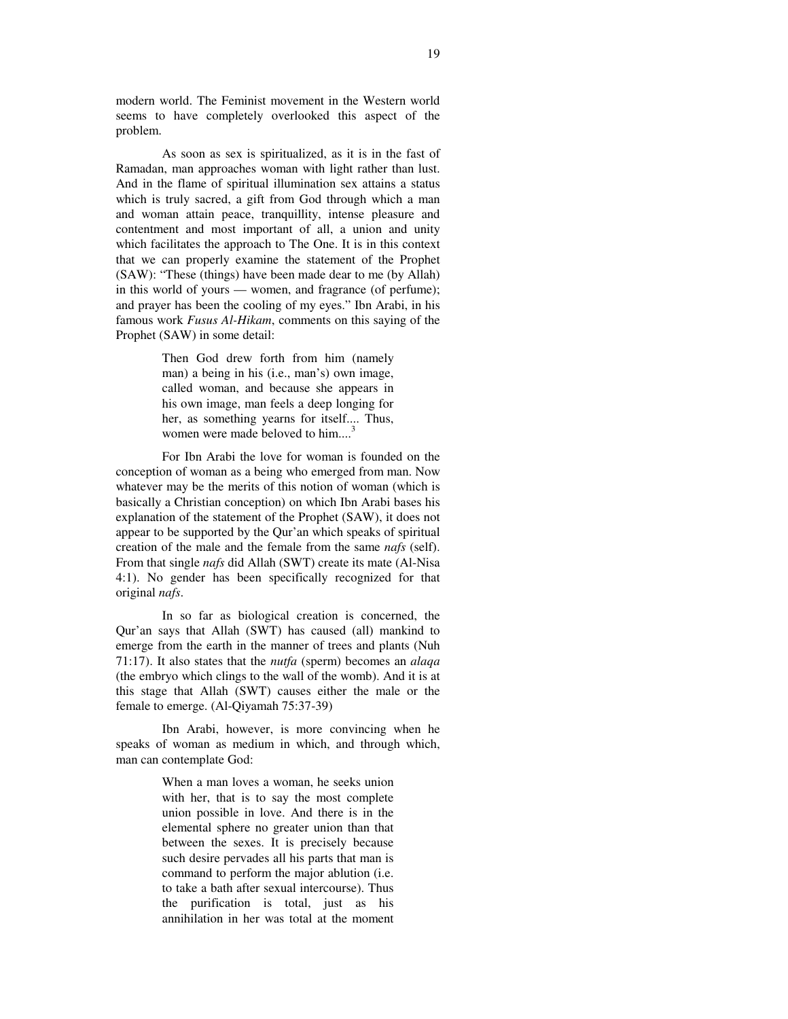modern world. The Feminist movement in the Western world seems to have completely overlooked this aspect of the problem.

As soon as sex is spiritualized, as it is in the fast of Ramadan, man approaches woman with light rather than lust. And in the flame of spiritual illumination sex attains a status which is truly sacred, a gift from God through which a man and woman attain peace, tranquillity, intense pleasure and contentment and most important of all, a union and unity which facilitates the approach to The One. It is in this context that we can properly examine the statement of the Prophet (SAW): "These (things) have been made dear to me (by Allah) in this world of yours — women, and fragrance (of perfume); and prayer has been the cooling of my eyes." Ibn Arabi, in his famous work *Fusus Al-Hikam*, comments on this saying of the Prophet (SAW) in some detail:

> Then God drew forth from him (namely man) a being in his (i.e., man's) own image, called woman, and because she appears in his own image, man feels a deep longing for her, as something yearns for itself.... Thus, women were made beloved to him....<sup>3</sup>

For Ibn Arabi the love for woman is founded on the conception of woman as a being who emerged from man. Now whatever may be the merits of this notion of woman (which is basically a Christian conception) on which Ibn Arabi bases his explanation of the statement of the Prophet (SAW), it does not appear to be supported by the Qur'an which speaks of spiritual creation of the male and the female from the same *nafs* (self). From that single *nafs* did Allah (SWT) create its mate (Al-Nisa 4:1). No gender has been specifically recognized for that original *nafs*.

In so far as biological creation is concerned, the Qur'an says that Allah (SWT) has caused (all) mankind to emerge from the earth in the manner of trees and plants (Nuh 71:17). It also states that the *nutfa* (sperm) becomes an *alaqa* (the embryo which clings to the wall of the womb). And it is at this stage that Allah (SWT) causes either the male or the female to emerge. (Al-Qiyamah 75:37-39)

Ibn Arabi, however, is more convincing when he speaks of woman as medium in which, and through which, man can contemplate God:

> When a man loves a woman, he seeks union with her, that is to say the most complete union possible in love. And there is in the elemental sphere no greater union than that between the sexes. It is precisely because such desire pervades all his parts that man is command to perform the major ablution (i.e. to take a bath after sexual intercourse). Thus the purification is total, just as his annihilation in her was total at the moment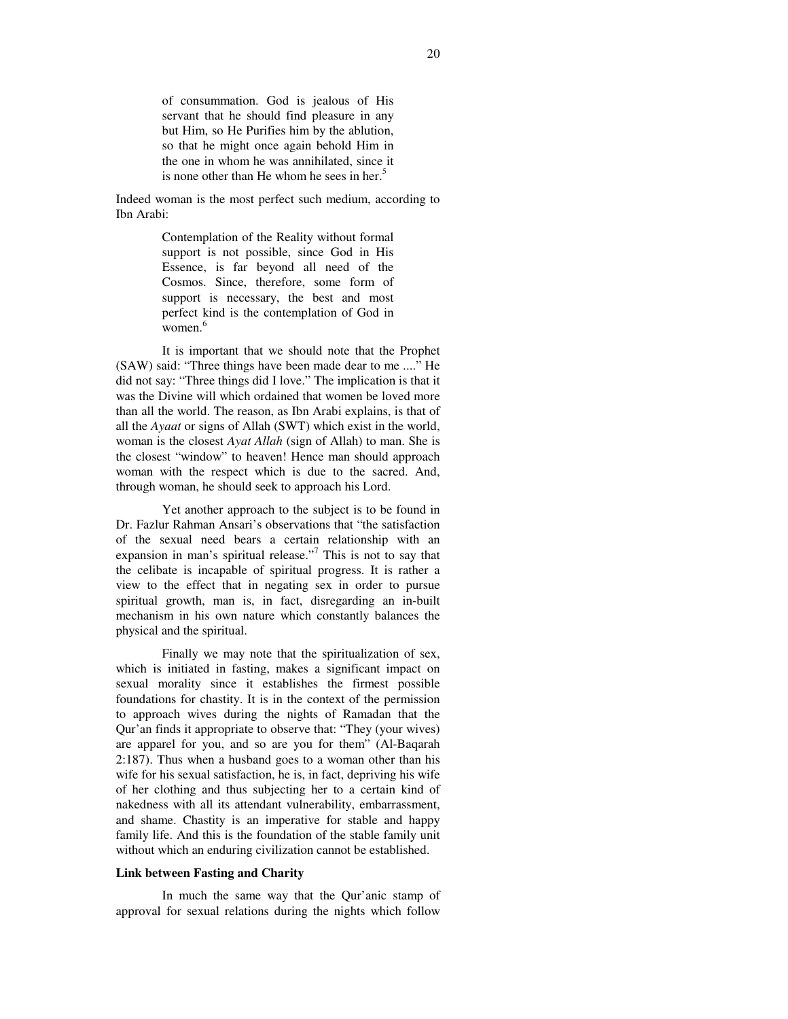of consummation. God is jealous of His servant that he should find pleasure in any but Him, so He Purifies him by the ablution, so that he might once again behold Him in the one in whom he was annihilated, since it is none other than He whom he sees in her.<sup>5</sup>

Indeed woman is the most perfect such medium, according to Ibn Arabi:

> Contemplation of the Reality without formal support is not possible, since God in His Essence, is far beyond all need of the Cosmos. Since, therefore, some form of support is necessary, the best and most perfect kind is the contemplation of God in women. 6

It is important that we should note that the Prophet (SAW) said: "Three things have been made dear to me ...." He did not say: "Three things did I love." The implication is that it was the Divine will which ordained that women be loved more than all the world. The reason, as Ibn Arabi explains, is that of all the *Ayaat* or signs of Allah (SWT) which exist in the world, woman is the closest *Ayat Allah* (sign of Allah) to man. She is the closest "window" to heaven! Hence man should approach woman with the respect which is due to the sacred. And, through woman, he should seek to approach his Lord.

Yet another approach to the subject is to be found in Dr. Fazlur Rahman Ansari's observations that "the satisfaction of the sexual need bears a certain relationship with an expansion in man's spiritual release."<sup>7</sup> This is not to say that the celibate is incapable of spiritual progress. It is rather a view to the effect that in negating sex in order to pursue spiritual growth, man is, in fact, disregarding an in-built mechanism in his own nature which constantly balances the physical and the spiritual.

Finally we may note that the spiritualization of sex, which is initiated in fasting, makes a significant impact on sexual morality since it establishes the firmest possible foundations for chastity. It is in the context of the permission to approach wives during the nights of Ramadan that the Qur'an finds it appropriate to observe that: "They (your wives) are apparel for you, and so are you for them" (Al-Baqarah 2:187). Thus when a husband goes to a woman other than his wife for his sexual satisfaction, he is, in fact, depriving his wife of her clothing and thus subjecting her to a certain kind of nakedness with all its attendant vulnerability, embarrassment, and shame. Chastity is an imperative for stable and happy family life. And this is the foundation of the stable family unit without which an enduring civilization cannot be established.

#### **Link between Fasting and Charity**

In much the same way that the Qur'anic stamp of approval for sexual relations during the nights which follow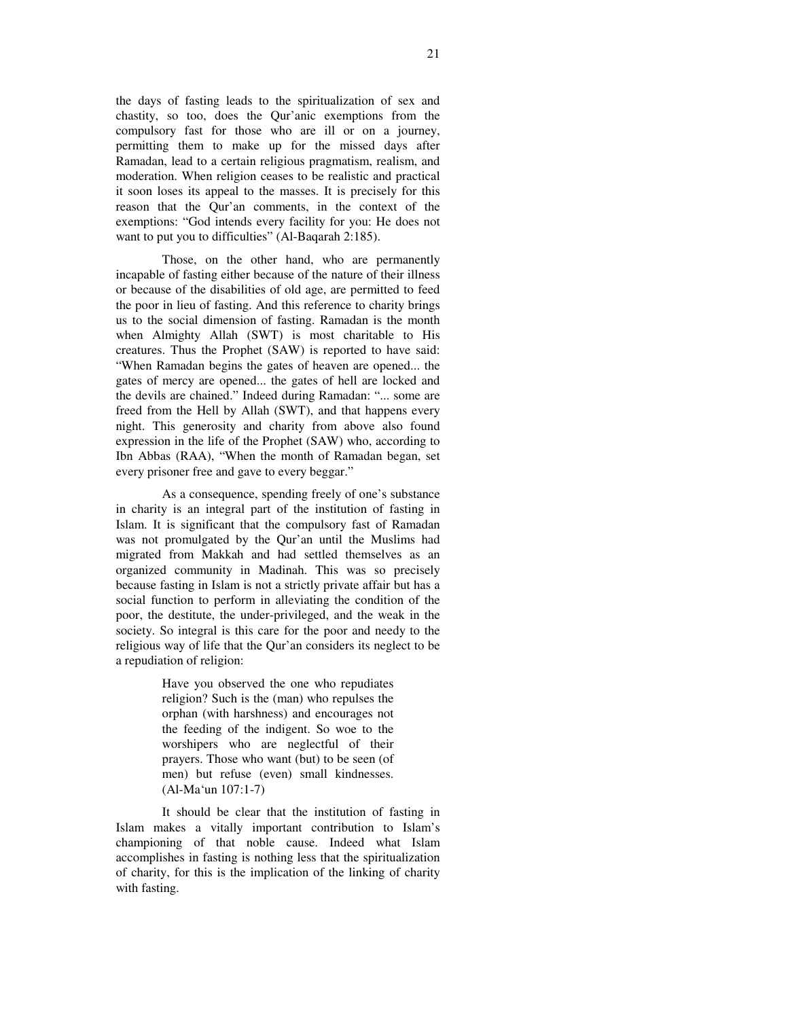the days of fasting leads to the spiritualization of sex and chastity, so too, does the Qur'anic exemptions from the compulsory fast for those who are ill or on a journey, permitting them to make up for the missed days after Ramadan, lead to a certain religious pragmatism, realism, and moderation. When religion ceases to be realistic and practical it soon loses its appeal to the masses. It is precisely for this reason that the Qur'an comments, in the context of the exemptions: "God intends every facility for you: He does not want to put you to difficulties" (Al-Baqarah 2:185).

Those, on the other hand, who are permanently incapable of fasting either because of the nature of their illness or because of the disabilities of old age, are permitted to feed the poor in lieu of fasting. And this reference to charity brings us to the social dimension of fasting. Ramadan is the month when Almighty Allah (SWT) is most charitable to His creatures. Thus the Prophet (SAW) is reported to have said: "When Ramadan begins the gates of heaven are opened... the gates of mercy are opened... the gates of hell are locked and the devils are chained." Indeed during Ramadan: "... some are freed from the Hell by Allah (SWT), and that happens every night. This generosity and charity from above also found expression in the life of the Prophet (SAW) who, according to Ibn Abbas (RAA), "When the month of Ramadan began, set every prisoner free and gave to every beggar."

As a consequence, spending freely of one's substance in charity is an integral part of the institution of fasting in Islam. It is significant that the compulsory fast of Ramadan was not promulgated by the Qur'an until the Muslims had migrated from Makkah and had settled themselves as an organized community in Madinah. This was so precisely because fasting in Islam is not a strictly private affair but has a social function to perform in alleviating the condition of the poor, the destitute, the under-privileged, and the weak in the society. So integral is this care for the poor and needy to the religious way of life that the Qur'an considers its neglect to be a repudiation of religion:

> Have you observed the one who repudiates religion? Such is the (man) who repulses the orphan (with harshness) and encourages not the feeding of the indigent. So woe to the worshipers who are neglectful of their prayers. Those who want (but) to be seen (of men) but refuse (even) small kindnesses. (Al-Ma'un 107:1-7)

It should be clear that the institution of fasting in Islam makes a vitally important contribution to Islam's championing of that noble cause. Indeed what Islam accomplishes in fasting is nothing less that the spiritualization of charity, for this is the implication of the linking of charity with fasting.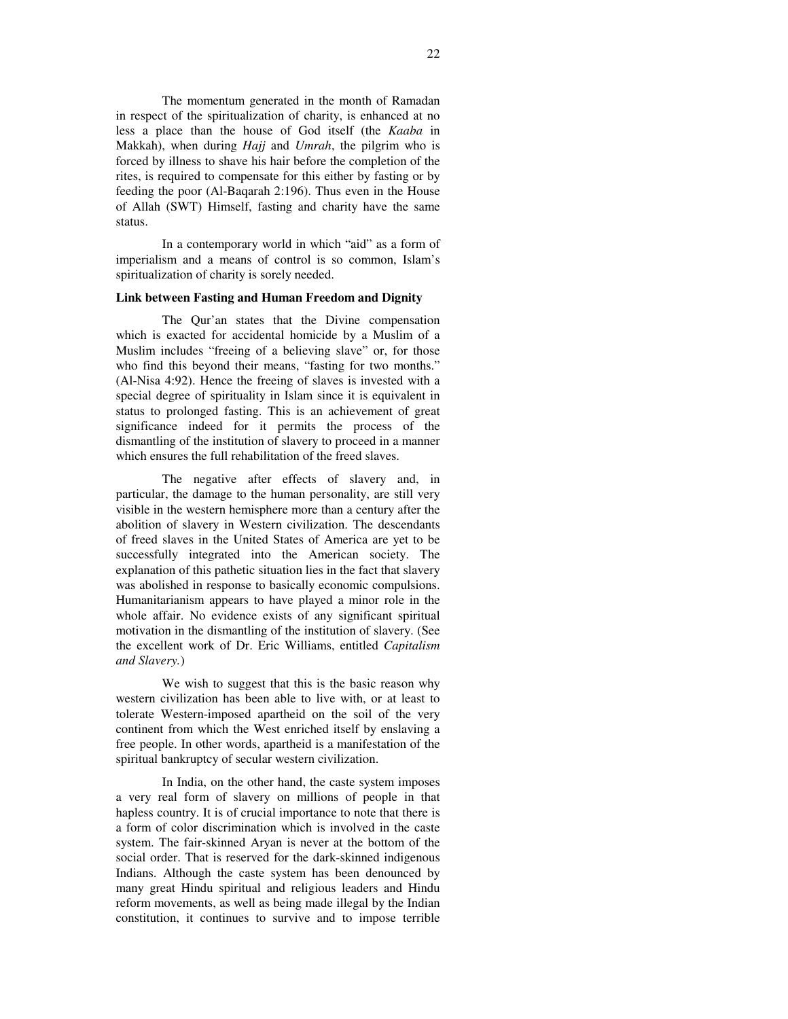The momentum generated in the month of Ramadan in respect of the spiritualization of charity, is enhanced at no less a place than the house of God itself (the *Kaaba* in Makkah), when during *Hajj* and *Umrah*, the pilgrim who is forced by illness to shave his hair before the completion of the rites, is required to compensate for this either by fasting or by feeding the poor (Al-Baqarah 2:196). Thus even in the House of Allah (SWT) Himself, fasting and charity have the same status.

In a contemporary world in which "aid" as a form of imperialism and a means of control is so common, Islam's spiritualization of charity is sorely needed.

#### **Link between Fasting and Human Freedom and Dignity**

The Qur'an states that the Divine compensation which is exacted for accidental homicide by a Muslim of a Muslim includes "freeing of a believing slave" or, for those who find this beyond their means, "fasting for two months." (Al-Nisa 4:92). Hence the freeing of slaves is invested with a special degree of spirituality in Islam since it is equivalent in status to prolonged fasting. This is an achievement of great significance indeed for it permits the process of the dismantling of the institution of slavery to proceed in a manner which ensures the full rehabilitation of the freed slaves.

The negative after effects of slavery and, in particular, the damage to the human personality, are still very visible in the western hemisphere more than a century after the abolition of slavery in Western civilization. The descendants of freed slaves in the United States of America are yet to be successfully integrated into the American society. The explanation of this pathetic situation lies in the fact that slavery was abolished in response to basically economic compulsions. Humanitarianism appears to have played a minor role in the whole affair. No evidence exists of any significant spiritual motivation in the dismantling of the institution of slavery. (See the excellent work of Dr. Eric Williams, entitled *Capitalism and Slavery.*)

We wish to suggest that this is the basic reason why western civilization has been able to live with, or at least to tolerate Western-imposed apartheid on the soil of the very continent from which the West enriched itself by enslaving a free people. In other words, apartheid is a manifestation of the spiritual bankruptcy of secular western civilization.

In India, on the other hand, the caste system imposes a very real form of slavery on millions of people in that hapless country. It is of crucial importance to note that there is a form of color discrimination which is involved in the caste system. The fair-skinned Aryan is never at the bottom of the social order. That is reserved for the dark-skinned indigenous Indians. Although the caste system has been denounced by many great Hindu spiritual and religious leaders and Hindu reform movements, as well as being made illegal by the Indian constitution, it continues to survive and to impose terrible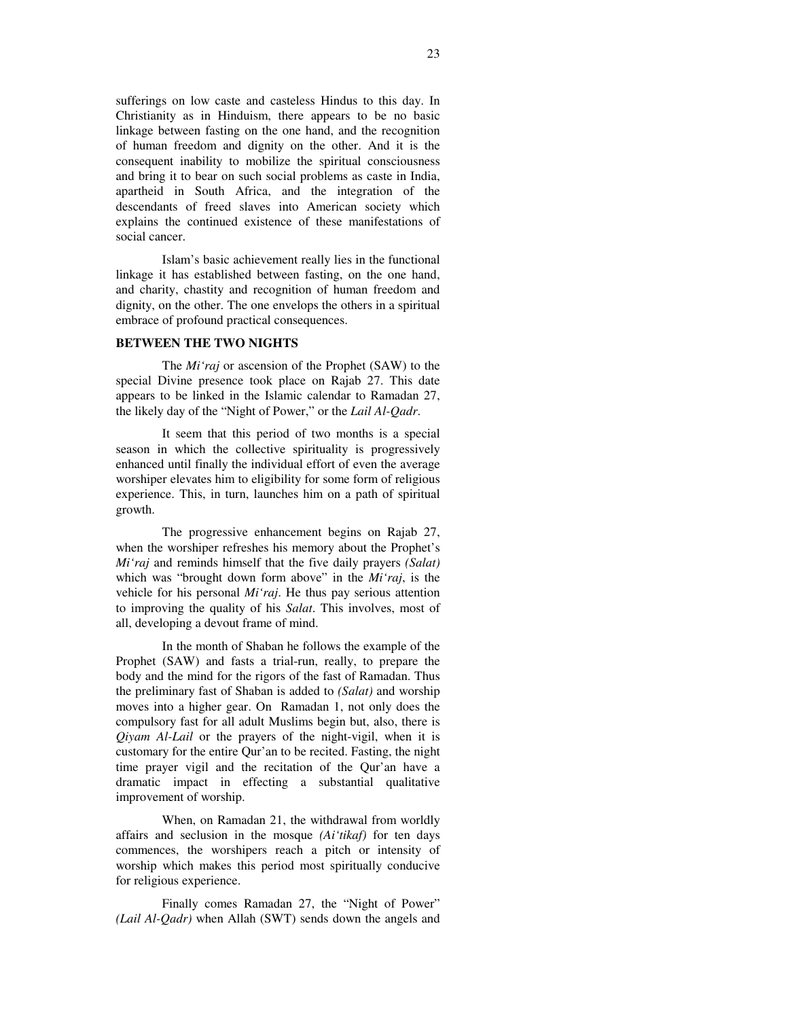sufferings on low caste and casteless Hindus to this day. In Christianity as in Hinduism, there appears to be no basic linkage between fasting on the one hand, and the recognition of human freedom and dignity on the other. And it is the consequent inability to mobilize the spiritual consciousness and bring it to bear on such social problems as caste in India, apartheid in South Africa, and the integration of the descendants of freed slaves into American society which explains the continued existence of these manifestations of social cancer.

Islam's basic achievement really lies in the functional linkage it has established between fasting, on the one hand, and charity, chastity and recognition of human freedom and dignity, on the other. The one envelops the others in a spiritual embrace of profound practical consequences.

#### **BETWEEN THE TWO NIGHTS**

The *Mi'raj* or ascension of the Prophet (SAW) to the special Divine presence took place on Rajab 27. This date appears to be linked in the Islamic calendar to Ramadan 27, the likely day of the "Night of Power," or the *Lail Al-Qadr*.

It seem that this period of two months is a special season in which the collective spirituality is progressively enhanced until finally the individual effort of even the average worshiper elevates him to eligibility for some form of religious experience. This, in turn, launches him on a path of spiritual growth.

The progressive enhancement begins on Rajab 27, when the worshiper refreshes his memory about the Prophet's *Mi'raj* and reminds himself that the five daily prayers *(Salat)* which was "brought down form above" in the *Mi'raj*, is the vehicle for his personal *Mi'raj*. He thus pay serious attention to improving the quality of his *Salat*. This involves, most of all, developing a devout frame of mind.

In the month of Shaban he follows the example of the Prophet (SAW) and fasts a trial-run, really, to prepare the body and the mind for the rigors of the fast of Ramadan. Thus the preliminary fast of Shaban is added to *(Salat)* and worship moves into a higher gear. On Ramadan 1, not only does the compulsory fast for all adult Muslims begin but, also, there is *Qiyam Al-Lail* or the prayers of the night-vigil, when it is customary for the entire Qur'an to be recited. Fasting, the night time prayer vigil and the recitation of the Qur'an have a dramatic impact in effecting a substantial qualitative improvement of worship.

When, on Ramadan 21, the withdrawal from worldly affairs and seclusion in the mosque *(Ai'tikaf)* for ten days commences, the worshipers reach a pitch or intensity of worship which makes this period most spiritually conducive for religious experience.

Finally comes Ramadan 27, the "Night of Power" *(Lail Al-Qadr)* when Allah (SWT) sends down the angels and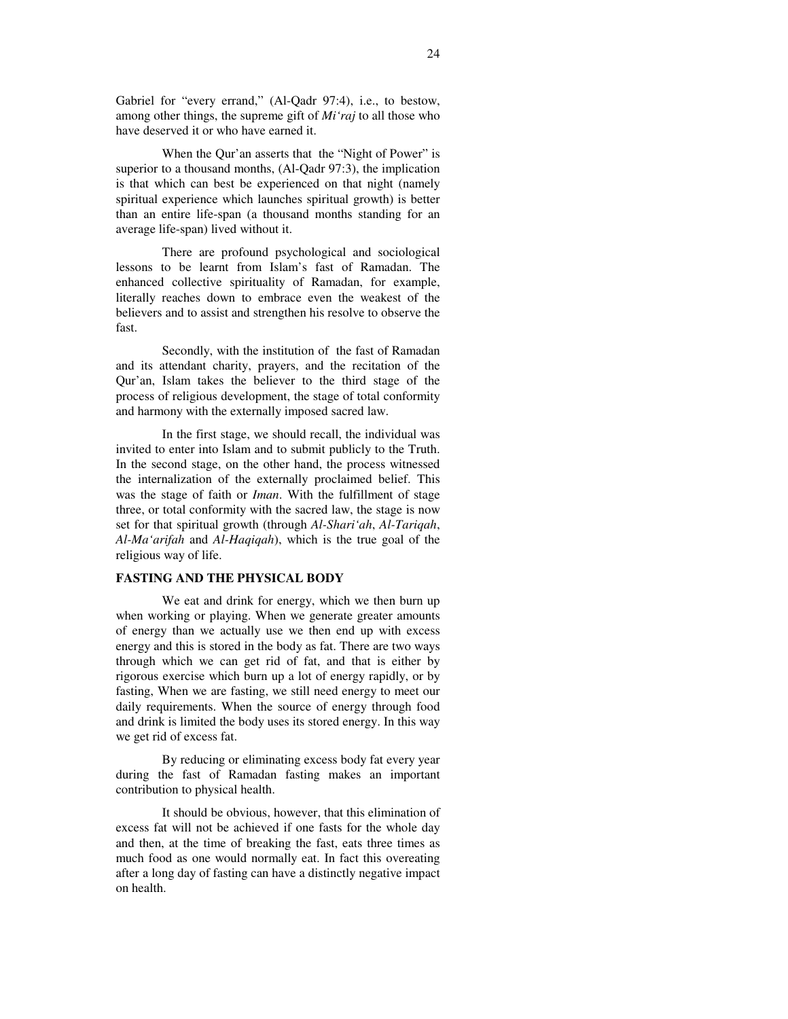Gabriel for "every errand," (Al-Qadr 97:4), i.e., to bestow, among other things, the supreme gift of *Mi'raj* to all those who have deserved it or who have earned it.

When the Qur'an asserts that the "Night of Power" is superior to a thousand months, (Al-Qadr 97:3), the implication is that which can best be experienced on that night (namely spiritual experience which launches spiritual growth) is better than an entire life-span (a thousand months standing for an average life-span) lived without it.

There are profound psychological and sociological lessons to be learnt from Islam's fast of Ramadan. The enhanced collective spirituality of Ramadan, for example, literally reaches down to embrace even the weakest of the believers and to assist and strengthen his resolve to observe the fast.

Secondly, with the institution of the fast of Ramadan and its attendant charity, prayers, and the recitation of the Qur'an, Islam takes the believer to the third stage of the process of religious development, the stage of total conformity and harmony with the externally imposed sacred law.

In the first stage, we should recall, the individual was invited to enter into Islam and to submit publicly to the Truth. In the second stage, on the other hand, the process witnessed the internalization of the externally proclaimed belief. This was the stage of faith or *Iman*. With the fulfillment of stage three, or total conformity with the sacred law, the stage is now set for that spiritual growth (through *Al-Shari'ah*, *Al-Tariqah*, *Al-Ma'arifah* and *Al-Haqiqah*), which is the true goal of the religious way of life.

#### **FASTING AND THE PHYSICAL BODY**

We eat and drink for energy, which we then burn up when working or playing. When we generate greater amounts of energy than we actually use we then end up with excess energy and this is stored in the body as fat. There are two ways through which we can get rid of fat, and that is either by rigorous exercise which burn up a lot of energy rapidly, or by fasting, When we are fasting, we still need energy to meet our daily requirements. When the source of energy through food and drink is limited the body uses its stored energy. In this way we get rid of excess fat.

By reducing or eliminating excess body fat every year during the fast of Ramadan fasting makes an important contribution to physical health.

It should be obvious, however, that this elimination of excess fat will not be achieved if one fasts for the whole day and then, at the time of breaking the fast, eats three times as much food as one would normally eat. In fact this overeating after a long day of fasting can have a distinctly negative impact on health.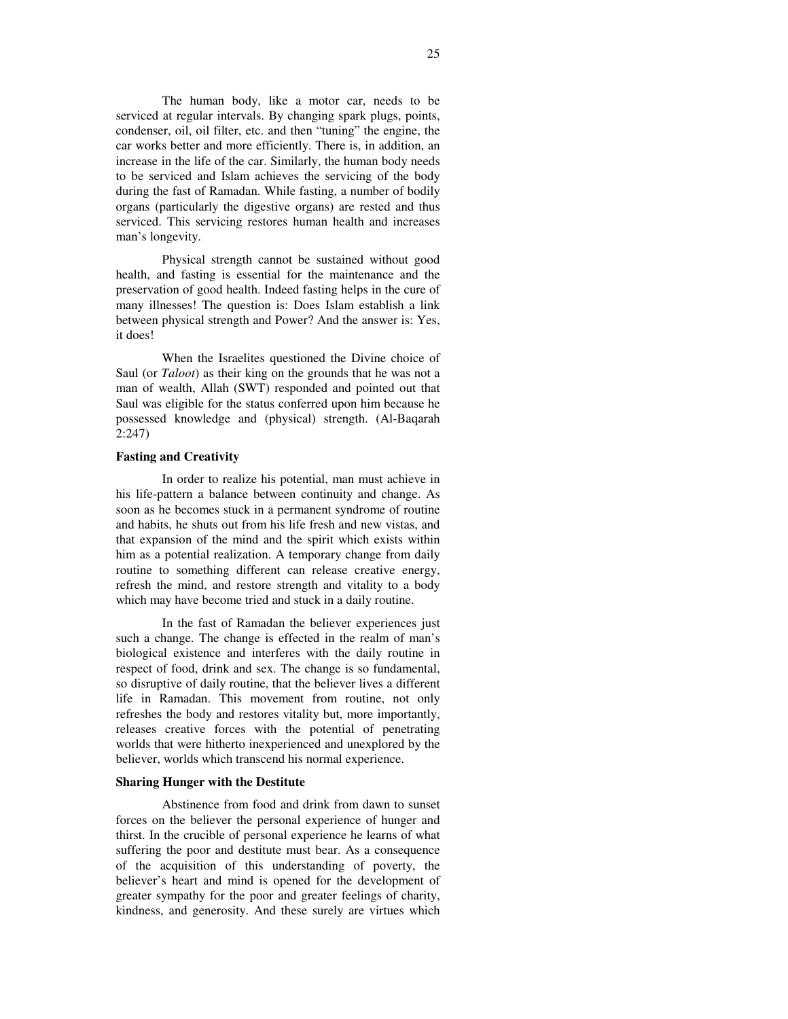The human body, like a motor car, needs to be serviced at regular intervals. By changing spark plugs, points, condenser, oil, oil filter, etc. and then "tuning" the engine, the car works better and more efficiently. There is, in addition, an increase in the life of the car. Similarly, the human body needs to be serviced and Islam achieves the servicing of the body during the fast of Ramadan. While fasting, a number of bodily organs (particularly the digestive organs) are rested and thus serviced. This servicing restores human health and increases man's longevity.

Physical strength cannot be sustained without good health, and fasting is essential for the maintenance and the preservation of good health. Indeed fasting helps in the cure of many illnesses! The question is: Does Islam establish a link between physical strength and Power? And the answer is: Yes, it does!

When the Israelites questioned the Divine choice of Saul (or *Taloot*) as their king on the grounds that he was not a man of wealth, Allah (SWT) responded and pointed out that Saul was eligible for the status conferred upon him because he possessed knowledge and (physical) strength. (Al-Baqarah 2:247)

#### **Fasting and Creativity**

In order to realize his potential, man must achieve in his life-pattern a balance between continuity and change. As soon as he becomes stuck in a permanent syndrome of routine and habits, he shuts out from his life fresh and new vistas, and that expansion of the mind and the spirit which exists within him as a potential realization. A temporary change from daily routine to something different can release creative energy, refresh the mind, and restore strength and vitality to a body which may have become tried and stuck in a daily routine.

In the fast of Ramadan the believer experiences just such a change. The change is effected in the realm of man's biological existence and interferes with the daily routine in respect of food, drink and sex. The change is so fundamental, so disruptive of daily routine, that the believer lives a different life in Ramadan. This movement from routine, not only refreshes the body and restores vitality but, more importantly, releases creative forces with the potential of penetrating worlds that were hitherto inexperienced and unexplored by the believer, worlds which transcend his normal experience.

#### **Sharing Hunger with the Destitute**

Abstinence from food and drink from dawn to sunset forces on the believer the personal experience of hunger and thirst. In the crucible of personal experience he learns of what suffering the poor and destitute must bear. As a consequence of the acquisition of this understanding of poverty, the believer's heart and mind is opened for the development of greater sympathy for the poor and greater feelings of charity, kindness, and generosity. And these surely are virtues which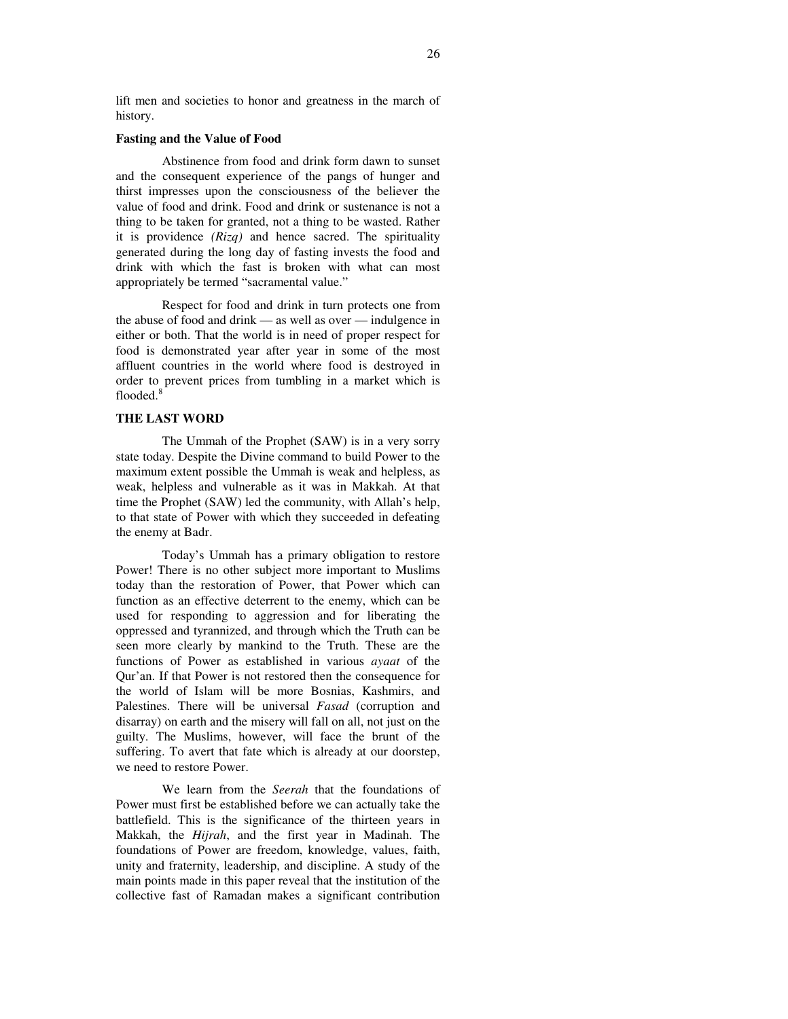lift men and societies to honor and greatness in the march of history.

#### **Fasting and the Value of Food**

Abstinence from food and drink form dawn to sunset and the consequent experience of the pangs of hunger and thirst impresses upon the consciousness of the believer the value of food and drink. Food and drink or sustenance is not a thing to be taken for granted, not a thing to be wasted. Rather it is providence *(Rizq)* and hence sacred. The spirituality generated during the long day of fasting invests the food and drink with which the fast is broken with what can most appropriately be termed "sacramental value."

Respect for food and drink in turn protects one from the abuse of food and drink — as well as over — indulgence in either or both. That the world is in need of proper respect for food is demonstrated year after year in some of the most affluent countries in the world where food is destroyed in order to prevent prices from tumbling in a market which is flooded. 8

## **THE LAST WORD**

The Ummah of the Prophet (SAW) is in a very sorry state today. Despite the Divine command to build Power to the maximum extent possible the Ummah is weak and helpless, as weak, helpless and vulnerable as it was in Makkah. At that time the Prophet (SAW) led the community, with Allah's help, to that state of Power with which they succeeded in defeating the enemy at Badr.

Today's Ummah has a primary obligation to restore Power! There is no other subject more important to Muslims today than the restoration of Power, that Power which can function as an effective deterrent to the enemy, which can be used for responding to aggression and for liberating the oppressed and tyrannized, and through which the Truth can be seen more clearly by mankind to the Truth. These are the functions of Power as established in various *ayaat* of the Qur'an. If that Power is not restored then the consequence for the world of Islam will be more Bosnias, Kashmirs, and Palestines. There will be universal *Fasad* (corruption and disarray) on earth and the misery will fall on all, not just on the guilty. The Muslims, however, will face the brunt of the suffering. To avert that fate which is already at our doorstep, we need to restore Power.

We learn from the *Seerah* that the foundations of Power must first be established before we can actually take the battlefield. This is the significance of the thirteen years in Makkah, the *Hijrah*, and the first year in Madinah. The foundations of Power are freedom, knowledge, values, faith, unity and fraternity, leadership, and discipline. A study of the main points made in this paper reveal that the institution of the collective fast of Ramadan makes a significant contribution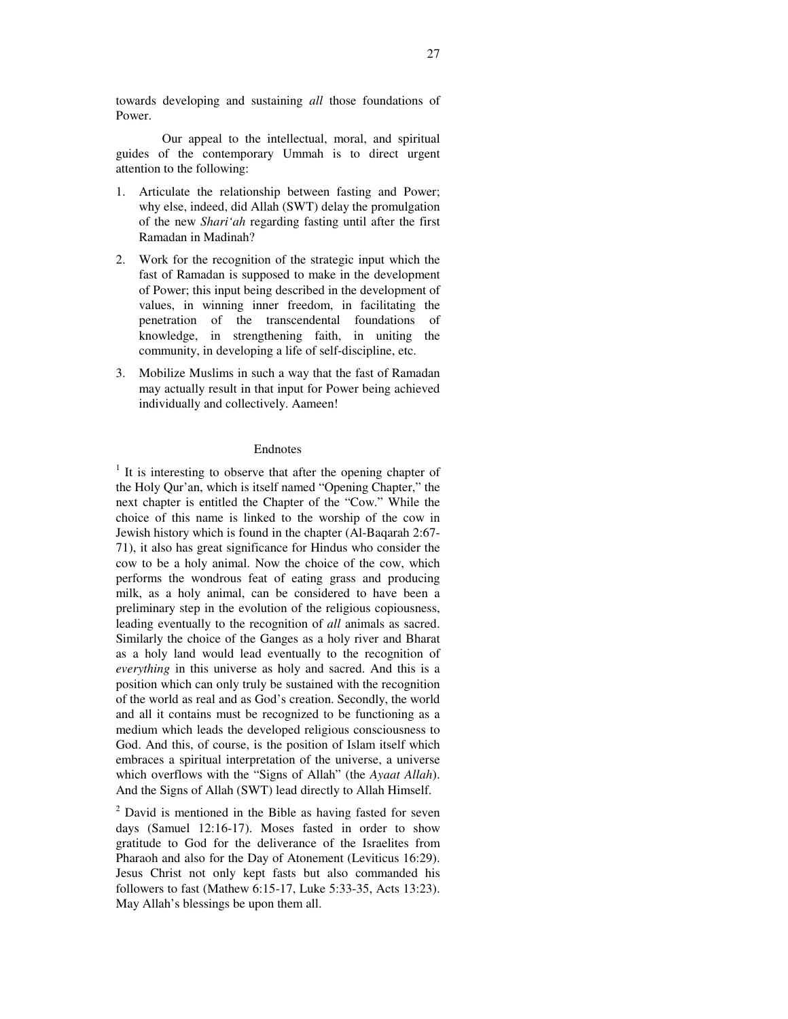towards developing and sustaining *all* those foundations of Power.

Our appeal to the intellectual, moral, and spiritual guides of the contemporary Ummah is to direct urgent attention to the following:

- 1. Articulate the relationship between fasting and Power; why else, indeed, did Allah (SWT) delay the promulgation of the new *Shari'ah* regarding fasting until after the first Ramadan in Madinah?
- 2. Work for the recognition of the strategic input which the fast of Ramadan is supposed to make in the development of Power; this input being described in the development of values, in winning inner freedom, in facilitating the penetration of the transcendental foundations of knowledge, in strengthening faith, in uniting the community, in developing a life of self-discipline, etc.
- 3. Mobilize Muslims in such a way that the fast of Ramadan may actually result in that input for Power being achieved individually and collectively. Aameen!

## Endnotes

 $<sup>1</sup>$  It is interesting to observe that after the opening chapter of</sup> the Holy Qur'an, which is itself named "Opening Chapter," the next chapter is entitled the Chapter of the "Cow." While the choice of this name is linked to the worship of the cow in Jewish history which is found in the chapter (Al-Baqarah 2:67- 71), it also has great significance for Hindus who consider the cow to be a holy animal. Now the choice of the cow, which performs the wondrous feat of eating grass and producing milk, as a holy animal, can be considered to have been a preliminary step in the evolution of the religious copiousness, leading eventually to the recognition of *all* animals as sacred. Similarly the choice of the Ganges as a holy river and Bharat as a holy land would lead eventually to the recognition of *everything* in this universe as holy and sacred. And this is a position which can only truly be sustained with the recognition of the world as real and as God's creation. Secondly, the world and all it contains must be recognized to be functioning as a medium which leads the developed religious consciousness to God. And this, of course, is the position of Islam itself which embraces a spiritual interpretation of the universe, a universe which overflows with the "Signs of Allah" (the *Ayaat Allah*). And the Signs of Allah (SWT) lead directly to Allah Himself.

 $2$  David is mentioned in the Bible as having fasted for seven days (Samuel 12:16-17). Moses fasted in order to show gratitude to God for the deliverance of the Israelites from Pharaoh and also for the Day of Atonement (Leviticus 16:29). Jesus Christ not only kept fasts but also commanded his followers to fast (Mathew 6:15-17, Luke 5:33-35, Acts 13:23). May Allah's blessings be upon them all.